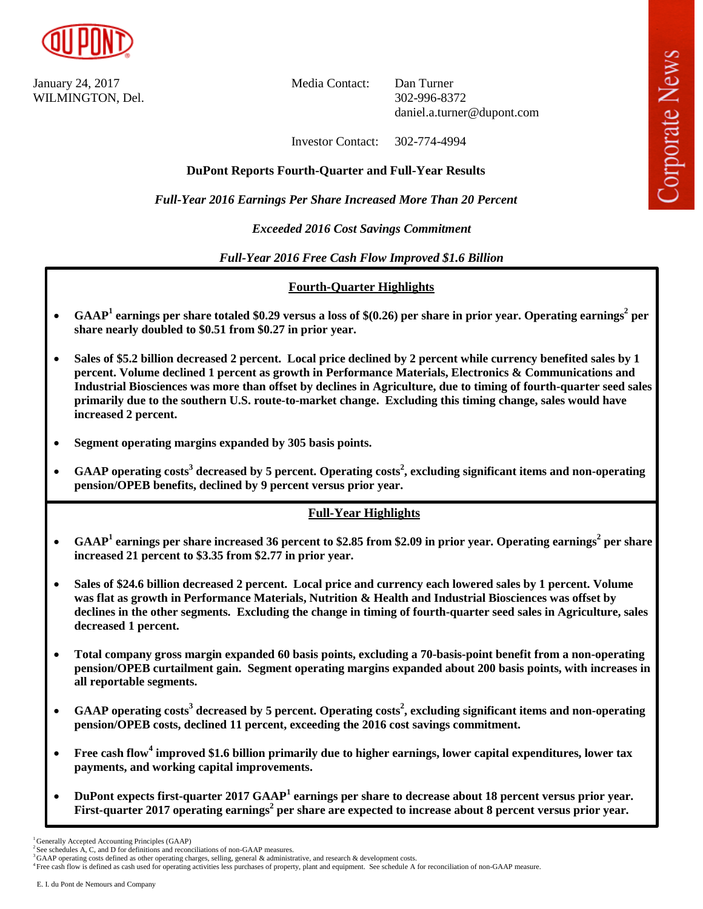

January 24, 2017 Media Contact: Dan Turner WILMINGTON, Del. 302-996-8372

daniel.a.turner@dupont.com

Investor Contact: 302-774-4994

# **DuPont Reports Fourth-Quarter and Full-Year Results**

*Full-Year 2016 Earnings Per Share Increased More Than 20 Percent*

# *Exceeded 2016 Cost Savings Commitment*

*Full-Year 2016 Free Cash Flow Improved \$1.6 Billion*

# **Fourth-Quarter Highlights**

- **GAAP<sup>1</sup> earnings per share totaled \$0.29 versus a loss of \$(0.26) per share in prior year. Operating earnings<sup>2</sup> per share nearly doubled to \$0.51 from \$0.27 in prior year.**
- **Sales of \$5.2 billion decreased 2 percent. Local price declined by 2 percent while currency benefited sales by 1 percent. Volume declined 1 percent as growth in Performance Materials, Electronics & Communications and Industrial Biosciences was more than offset by declines in Agriculture, due to timing of fourth-quarter seed sales primarily due to the southern U.S. route-to-market change. Excluding this timing change, sales would have increased 2 percent.**
- **Segment operating margins expanded by 305 basis points.**
- **GAAP operating costs<sup>3</sup> decreased by 5 percent. Operating costs<sup>2</sup> , excluding significant items and non-operating pension/OPEB benefits, declined by 9 percent versus prior year.**

# **Full-Year Highlights**

- **•** GAAP<sup>1</sup> earnings per share increased 36 percent to \$2.85 from \$2.09 in prior year. Operating earnings<sup>2</sup> per share **increased 21 percent to \$3.35 from \$2.77 in prior year.**
- **Sales of \$24.6 billion decreased 2 percent. Local price and currency each lowered sales by 1 percent. Volume was flat as growth in Performance Materials, Nutrition & Health and Industrial Biosciences was offset by declines in the other segments. Excluding the change in timing of fourth-quarter seed sales in Agriculture, sales decreased 1 percent.**
- **Total company gross margin expanded 60 basis points, excluding a 70-basis-point benefit from a non-operating pension/OPEB curtailment gain. Segment operating margins expanded about 200 basis points, with increases in all reportable segments.**
- **GAAP operating costs<sup>3</sup> decreased by 5 percent. Operating costs<sup>2</sup> , excluding significant items and non-operating pension/OPEB costs, declined 11 percent, exceeding the 2016 cost savings commitment.**
- **Free cash flow<sup>4</sup> improved \$1.6 billion primarily due to higher earnings, lower capital expenditures, lower tax payments, and working capital improvements.**
- **DuPont expects first-quarter 2017 GAAP<sup>1</sup> earnings per share to decrease about 18 percent versus prior year. First-quarter 2017 operating earnings<sup>2</sup> per share are expected to increase about 8 percent versus prior year.**

<sup>&</sup>lt;sup>1</sup> Generally Accepted Accounting Principles (GAAP)

<sup>2</sup>See schedules A, C, and D for definitions and reconciliations of non-GAAP measures.

<sup>&</sup>lt;sup>3</sup>GAAP operating costs defined as other operating charges, selling, general & administrative, and research & development costs.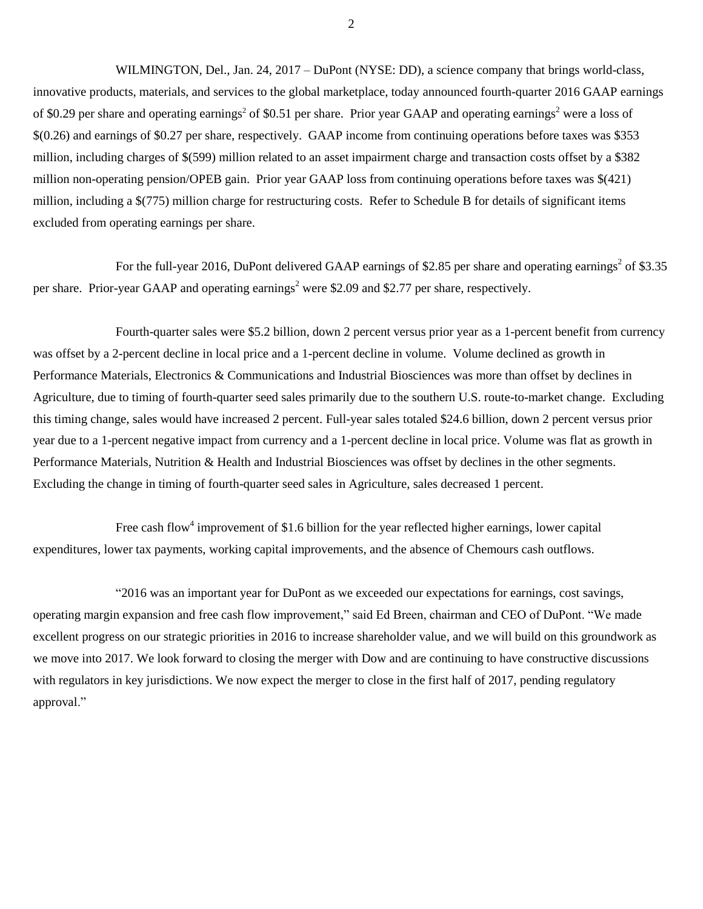WILMINGTON, Del., Jan. 24, 2017 – DuPont (NYSE: DD), a science company that brings world-class, innovative products, materials, and services to the global marketplace, today announced fourth-quarter 2016 GAAP earnings of \$0.29 per share and operating earnings<sup>2</sup> of \$0.51 per share. Prior year GAAP and operating earnings<sup>2</sup> were a loss of \$(0.26) and earnings of \$0.27 per share, respectively. GAAP income from continuing operations before taxes was \$353 million, including charges of \$(599) million related to an asset impairment charge and transaction costs offset by a \$382 million non-operating pension/OPEB gain. Prior year GAAP loss from continuing operations before taxes was \$(421) million, including a \$(775) million charge for restructuring costs. Refer to Schedule B for details of significant items excluded from operating earnings per share.

For the full-year 2016, DuPont delivered GAAP earnings of \$2.85 per share and operating earnings<sup>2</sup> of \$3.35 per share. Prior-year GAAP and operating earnings<sup>2</sup> were \$2.09 and \$2.77 per share, respectively.

Fourth-quarter sales were \$5.2 billion, down 2 percent versus prior year as a 1-percent benefit from currency was offset by a 2-percent decline in local price and a 1-percent decline in volume. Volume declined as growth in Performance Materials, Electronics & Communications and Industrial Biosciences was more than offset by declines in Agriculture, due to timing of fourth-quarter seed sales primarily due to the southern U.S. route-to-market change. Excluding this timing change, sales would have increased 2 percent. Full-year sales totaled \$24.6 billion, down 2 percent versus prior year due to a 1-percent negative impact from currency and a 1-percent decline in local price. Volume was flat as growth in Performance Materials, Nutrition & Health and Industrial Biosciences was offset by declines in the other segments. Excluding the change in timing of fourth-quarter seed sales in Agriculture, sales decreased 1 percent.

Free cash flow<sup>4</sup> improvement of \$1.6 billion for the year reflected higher earnings, lower capital expenditures, lower tax payments, working capital improvements, and the absence of Chemours cash outflows.

"2016 was an important year for DuPont as we exceeded our expectations for earnings, cost savings, operating margin expansion and free cash flow improvement," said Ed Breen, chairman and CEO of DuPont. "We made excellent progress on our strategic priorities in 2016 to increase shareholder value, and we will build on this groundwork as we move into 2017. We look forward to closing the merger with Dow and are continuing to have constructive discussions with regulators in key jurisdictions. We now expect the merger to close in the first half of 2017, pending regulatory approval."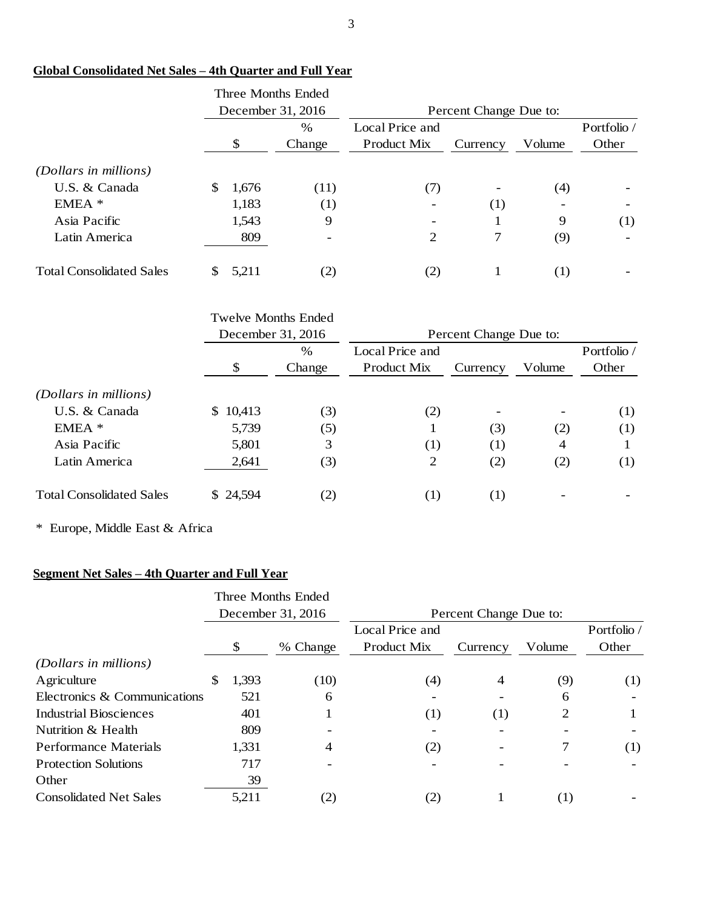|                                 |    | Three Months Ended<br>December 31, 2016 |        | Percent Change Due to: |          |                          |                          |
|---------------------------------|----|-----------------------------------------|--------|------------------------|----------|--------------------------|--------------------------|
|                                 |    | $\%$                                    |        | Local Price and        |          |                          | Portfolio /              |
|                                 |    | \$                                      | Change | <b>Product Mix</b>     | Currency | Volume                   | Other                    |
| (Dollars in millions)           |    |                                         |        |                        |          |                          |                          |
| U.S. & Canada                   | \$ | 1,676                                   | (11)   | (7)                    | -        | (4)                      |                          |
| $EMEA$ *                        |    | 1,183                                   | (1)    |                        | (1)      | $\overline{\phantom{0}}$ |                          |
| Asia Pacific                    |    | 1,543                                   | 9      | -                      |          | 9                        | (1)                      |
| Latin America                   |    | 809                                     | ٠      | 2                      | 7        | (9)                      | $\overline{\phantom{0}}$ |
| <b>Total Consolidated Sales</b> | S  | 5,211                                   | (2)    | (2)                    |          | (1)                      |                          |

# **Global Consolidated Net Sales – 4th Quarter and Full Year**

|                                 | <b>Twelve Months Ended</b> |                   |                        |          |        |             |  |  |  |  |  |
|---------------------------------|----------------------------|-------------------|------------------------|----------|--------|-------------|--|--|--|--|--|
|                                 |                            | December 31, 2016 | Percent Change Due to: |          |        |             |  |  |  |  |  |
|                                 |                            | $\%$              | Local Price and        |          |        | Portfolio / |  |  |  |  |  |
|                                 | \$                         | Change            | Product Mix            | Currency | Volume | Other       |  |  |  |  |  |
| (Dollars in millions)           |                            |                   |                        |          |        |             |  |  |  |  |  |
| U.S. & Canada                   | \$10,413                   | (3)               | (2)                    | ۰        |        | (1)         |  |  |  |  |  |
| $EMEA$ *                        | 5,739                      | (5)               |                        | (3)      | (2)    | (1)         |  |  |  |  |  |
| Asia Pacific                    | 5,801                      | 3                 | (1)                    | (1)      | 4      |             |  |  |  |  |  |
| Latin America                   | 2,641                      | (3)               | 2                      | (2)      | (2)    | (1)         |  |  |  |  |  |
| <b>Total Consolidated Sales</b> | \$ 24,594                  | $\left( 2\right)$ | (1)                    | (1)      |        |             |  |  |  |  |  |

\* Europe, Middle East & Africa

# **Segment Net Sales – 4th Quarter and Full Year**

|                               |    |       | Three Months Ended |                        |          |        |             |  |  |  |  |
|-------------------------------|----|-------|--------------------|------------------------|----------|--------|-------------|--|--|--|--|
|                               |    |       | December 31, 2016  | Percent Change Due to: |          |        |             |  |  |  |  |
|                               |    |       |                    | Local Price and        |          |        | Portfolio / |  |  |  |  |
|                               |    | \$    | % Change           | Product Mix            | Currency | Volume | Other       |  |  |  |  |
| (Dollars in millions)         |    |       |                    |                        |          |        |             |  |  |  |  |
| Agriculture                   | S. | 1,393 | (10)               | (4)                    | 4        | (9)    | (1)         |  |  |  |  |
| Electronics & Communications  |    | 521   | 6                  |                        |          | 6      |             |  |  |  |  |
| Industrial Biosciences        |    | 401   |                    | (1)                    | (1)      | 2      |             |  |  |  |  |
| Nutrition & Health            |    | 809   |                    |                        |          |        |             |  |  |  |  |
| <b>Performance Materials</b>  |    | 1,331 | 4                  | (2)                    |          |        | (1)         |  |  |  |  |
| <b>Protection Solutions</b>   |    | 717   |                    |                        |          |        |             |  |  |  |  |
| Other                         |    | 39    |                    |                        |          |        |             |  |  |  |  |
| <b>Consolidated Net Sales</b> |    | 5,211 | (2)                | (2)                    |          | (1)    |             |  |  |  |  |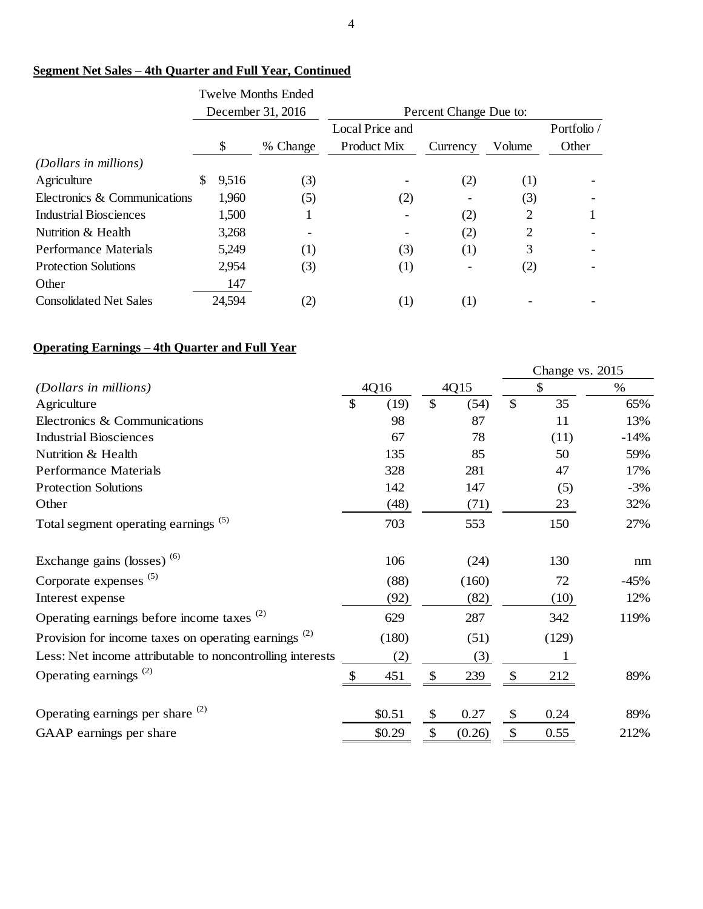# **Segment Net Sales – 4th Quarter and Full Year, Continued**

|                               |   |        | Twelve Months Ended |                        |          |        |             |  |  |  |
|-------------------------------|---|--------|---------------------|------------------------|----------|--------|-------------|--|--|--|
|                               |   |        | December 31, 2016   | Percent Change Due to: |          |        |             |  |  |  |
|                               |   |        |                     | Local Price and        |          |        | Portfolio / |  |  |  |
|                               |   | \$     | % Change            | Product Mix            | Currency | Volume | Other       |  |  |  |
| (Dollars in millions)         |   |        |                     |                        |          |        |             |  |  |  |
| Agriculture                   | S | 9.516  | (3)                 |                        | (2)      | (1)    |             |  |  |  |
| Electronics & Communications  |   | 1,960  | (5)                 | (2)                    |          | (3)    |             |  |  |  |
| Industrial Biosciences        |   | 1,500  |                     |                        | (2)      | 2      |             |  |  |  |
| Nutrition & Health            |   | 3,268  |                     |                        | (2)      | 2      |             |  |  |  |
| <b>Performance Materials</b>  |   | 5,249  | (1)                 | (3)                    | (1)      | 3      |             |  |  |  |
| <b>Protection Solutions</b>   |   | 2,954  | (3)                 | (1)                    |          | (2)    |             |  |  |  |
| Other                         |   | 147    |                     |                        |          |        |             |  |  |  |
| <b>Consolidated Net Sales</b> |   | 24,594 | (2)                 | (1)                    | (1)      |        |             |  |  |  |

# **Operating Earnings – 4th Quarter and Full Year**

|                                                           |            |                           |        |                           | Change vs. 2015 |        |
|-----------------------------------------------------------|------------|---------------------------|--------|---------------------------|-----------------|--------|
| (Dollars in millions)                                     | 4Q16       |                           | 4Q15   |                           | \$              | $\%$   |
| Agriculture                                               | \$<br>(19) | \$                        | (54)   | $\mathbb{S}$              | 35              | 65%    |
| Electronics & Communications                              | 98         |                           | 87     |                           | 11              | 13%    |
| <b>Industrial Biosciences</b>                             | 67         |                           | 78     |                           | (11)            | $-14%$ |
| Nutrition & Health                                        | 135        |                           | 85     |                           | 50              | 59%    |
| <b>Performance Materials</b>                              | 328        |                           | 281    |                           | 47              | 17%    |
| <b>Protection Solutions</b>                               | 142        |                           | 147    |                           | (5)             | $-3%$  |
| Other                                                     | (48)       |                           | (71)   |                           | 23              | 32%    |
| Total segment operating earnings <sup>(5)</sup>           | 703        |                           | 553    |                           | 150             | 27%    |
| Exchange gains (losses) <sup>(6)</sup>                    | 106        |                           | (24)   |                           | 130             | nm     |
| Corporate expenses $(5)$                                  | (88)       |                           | (160)  |                           | 72              | $-45%$ |
| Interest expense                                          | (92)       |                           | (82)   |                           | (10)            | 12%    |
| Operating earnings before income taxes <sup>(2)</sup>     | 629        |                           | 287    |                           | 342             | 119%   |
| Provision for income taxes on operating earnings $^{(2)}$ | (180)      |                           | (51)   |                           | (129)           |        |
| Less: Net income attributable to noncontrolling interests | (2)        |                           | (3)    |                           | 1               |        |
| Operating earnings <sup><math>(2)</math></sup>            | \$<br>451  | \$                        | 239    | \$                        | 212             | 89%    |
| Operating earnings per share $(2)$                        | \$0.51     | $\boldsymbol{\mathsf{S}}$ | 0.27   | \$                        | 0.24            | 89%    |
| GAAP earnings per share                                   | \$0.29     | \$                        | (0.26) | $\boldsymbol{\mathsf{S}}$ | 0.55            | 212%   |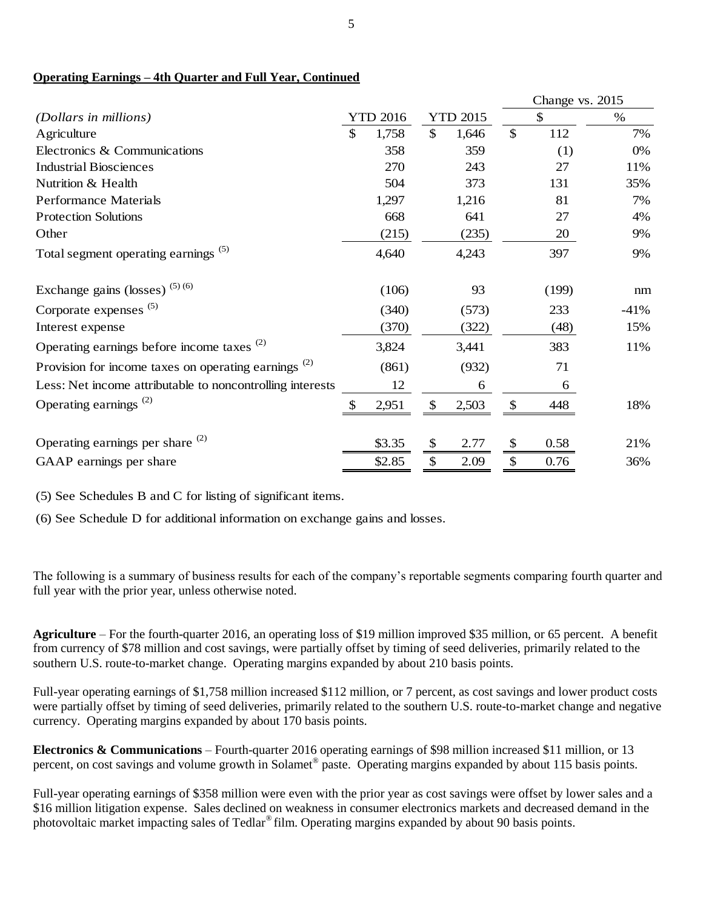# **Operating Earnings – 4th Quarter and Full Year, Continued**

|                                                           |    |                 |                           |                 | Change vs. 2015 |        |  |
|-----------------------------------------------------------|----|-----------------|---------------------------|-----------------|-----------------|--------|--|
| (Dollars in millions)                                     |    | <b>YTD 2016</b> |                           | <b>YTD 2015</b> | \$              | $\%$   |  |
| Agriculture                                               | \$ | 1,758           | $\mathbb{S}$              | 1,646           | \$<br>112       | 7%     |  |
| Electronics & Communications                              |    | 358             |                           | 359             | (1)             | 0%     |  |
| <b>Industrial Biosciences</b>                             |    | 270             |                           | 243             | 27              | 11%    |  |
| Nutrition & Health                                        |    | 504             |                           | 373             | 131             | 35%    |  |
| <b>Performance Materials</b>                              |    | 1,297           |                           | 1,216           | 81              | 7%     |  |
| <b>Protection Solutions</b>                               |    | 668             |                           | 641             | 27              | 4%     |  |
| Other                                                     |    | (215)           |                           | (235)           | 20              | 9%     |  |
| Total segment operating earnings <sup>(5)</sup>           |    | 4,640           |                           | 4,243           | 397             | 9%     |  |
| Exchange gains (losses) $(5)(6)$                          |    | (106)           |                           | 93              | (199)           | nm     |  |
| Corporate expenses $(5)$                                  |    | (340)           |                           | (573)           | 233             | $-41%$ |  |
| Interest expense                                          |    | (370)           |                           | (322)           | (48)            | 15%    |  |
| Operating earnings before income taxes <sup>(2)</sup>     |    | 3,824           |                           | 3,441           | 383             | 11%    |  |
| Provision for income taxes on operating earnings $^{(2)}$ |    | (861)           |                           | (932)           | 71              |        |  |
| Less: Net income attributable to noncontrolling interests |    | 12              |                           | 6               | 6               |        |  |
| Operating earnings $(2)$                                  | \$ | 2,951           | \$                        | 2,503           | \$<br>448       | 18%    |  |
| Operating earnings per share $(2)$                        |    | \$3.35          | $\boldsymbol{\mathsf{S}}$ | 2.77            | \$<br>0.58      | 21%    |  |
| GAAP earnings per share                                   |    | \$2.85          | \$                        | 2.09            | \$<br>0.76      | 36%    |  |

(5) See Schedules B and C for listing of significant items.

(6) See Schedule D for additional information on exchange gains and losses.

The following is a summary of business results for each of the company's reportable segments comparing fourth quarter and full year with the prior year, unless otherwise noted.

**Agriculture** – For the fourth-quarter 2016, an operating loss of \$19 million improved \$35 million, or 65 percent. A benefit from currency of \$78 million and cost savings, were partially offset by timing of seed deliveries, primarily related to the southern U.S. route-to-market change. Operating margins expanded by about 210 basis points.

Full-year operating earnings of \$1,758 million increased \$112 million, or 7 percent, as cost savings and lower product costs were partially offset by timing of seed deliveries, primarily related to the southern U.S. route-to-market change and negative currency. Operating margins expanded by about 170 basis points.

**Electronics & Communications** – Fourth-quarter 2016 operating earnings of \$98 million increased \$11 million, or 13 percent, on cost savings and volume growth in Solamet<sup>®</sup> paste. Operating margins expanded by about 115 basis points.

Full-year operating earnings of \$358 million were even with the prior year as cost savings were offset by lower sales and a \$16 million litigation expense. Sales declined on weakness in consumer electronics markets and decreased demand in the photovoltaic market impacting sales of Tedlar® film. Operating margins expanded by about 90 basis points.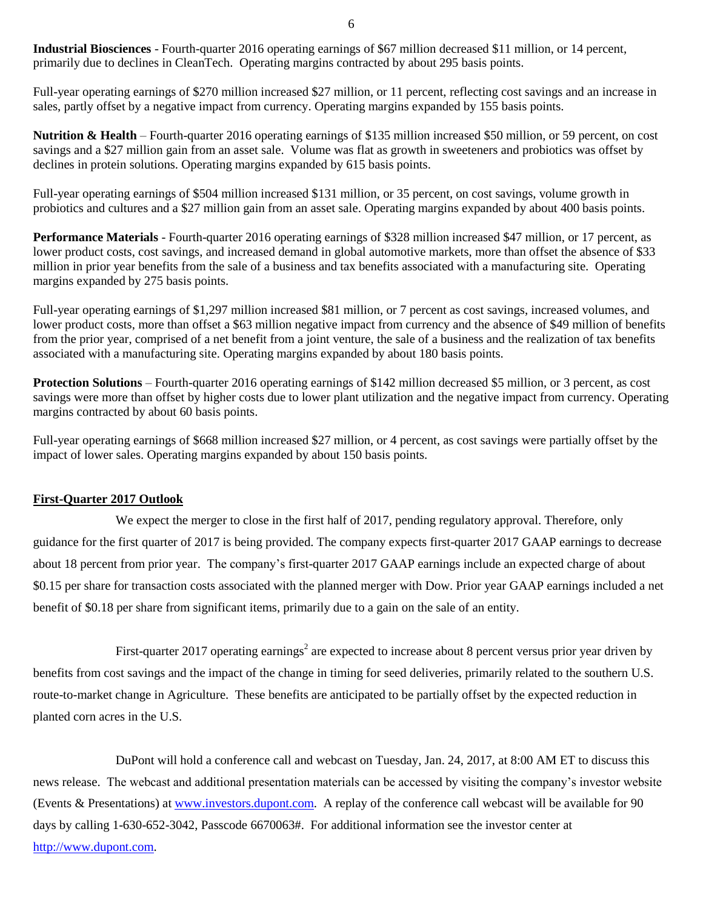**Industrial Biosciences** - Fourth-quarter 2016 operating earnings of \$67 million decreased \$11 million, or 14 percent, primarily due to declines in CleanTech. Operating margins contracted by about 295 basis points.

Full-year operating earnings of \$270 million increased \$27 million, or 11 percent, reflecting cost savings and an increase in sales, partly offset by a negative impact from currency. Operating margins expanded by 155 basis points.

**Nutrition & Health** – Fourth-quarter 2016 operating earnings of \$135 million increased \$50 million, or 59 percent, on cost savings and a \$27 million gain from an asset sale. Volume was flat as growth in sweeteners and probiotics was offset by declines in protein solutions. Operating margins expanded by 615 basis points.

Full-year operating earnings of \$504 million increased \$131 million, or 35 percent, on cost savings, volume growth in probiotics and cultures and a \$27 million gain from an asset sale. Operating margins expanded by about 400 basis points.

**Performance Materials** - Fourth-quarter 2016 operating earnings of \$328 million increased \$47 million, or 17 percent, as lower product costs, cost savings, and increased demand in global automotive markets, more than offset the absence of \$33 million in prior year benefits from the sale of a business and tax benefits associated with a manufacturing site. Operating margins expanded by 275 basis points.

Full-year operating earnings of \$1,297 million increased \$81 million, or 7 percent as cost savings, increased volumes, and lower product costs, more than offset a \$63 million negative impact from currency and the absence of \$49 million of benefits from the prior year, comprised of a net benefit from a joint venture, the sale of a business and the realization of tax benefits associated with a manufacturing site. Operating margins expanded by about 180 basis points.

**Protection Solutions** – Fourth-quarter 2016 operating earnings of \$142 million decreased \$5 million, or 3 percent, as cost savings were more than offset by higher costs due to lower plant utilization and the negative impact from currency. Operating margins contracted by about 60 basis points.

Full-year operating earnings of \$668 million increased \$27 million, or 4 percent, as cost savings were partially offset by the impact of lower sales. Operating margins expanded by about 150 basis points.

## **First-Quarter 2017 Outlook**

We expect the merger to close in the first half of 2017, pending regulatory approval. Therefore, only guidance for the first quarter of 2017 is being provided. The company expects first-quarter 2017 GAAP earnings to decrease about 18 percent from prior year. The company's first-quarter 2017 GAAP earnings include an expected charge of about \$0.15 per share for transaction costs associated with the planned merger with Dow. Prior year GAAP earnings included a net benefit of \$0.18 per share from significant items, primarily due to a gain on the sale of an entity.

First-quarter 2017 operating earnings<sup>2</sup> are expected to increase about 8 percent versus prior year driven by benefits from cost savings and the impact of the change in timing for seed deliveries, primarily related to the southern U.S. route-to-market change in Agriculture. These benefits are anticipated to be partially offset by the expected reduction in planted corn acres in the U.S.

DuPont will hold a conference call and webcast on Tuesday, Jan. 24, 2017, at 8:00 AM ET to discuss this news release. The webcast and additional presentation materials can be accessed by visiting the company's investor website (Events & [Presentations\)](http://www.investors.dupont.com/investor-relations/events-and-presentations/default.aspx) at [www.investors.dupont.com.](http://www.investors.dupont.com/) A replay of the conference call webcast will be available for 90 days by calling 1-630-652-3042, Passcode 6670063#. For additional information see the investor center at [http://www.dupont.com.](http://www.dupont.com/)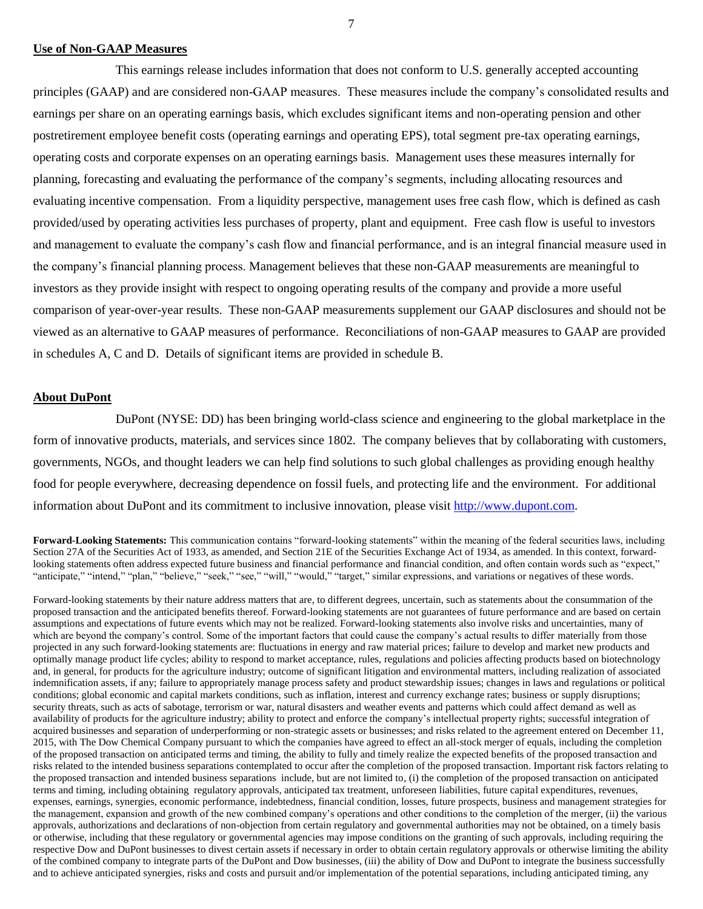### **Use of Non-GAAP Measures**

This earnings release includes information that does not conform to U.S. generally accepted accounting principles (GAAP) and are considered non-GAAP measures. These measures include the company's consolidated results and earnings per share on an operating earnings basis, which excludes significant items and non-operating pension and other postretirement employee benefit costs (operating earnings and operating EPS), total segment pre-tax operating earnings, operating costs and corporate expenses on an operating earnings basis. Management uses these measures internally for planning, forecasting and evaluating the performance of the company's segments, including allocating resources and evaluating incentive compensation. From a liquidity perspective, management uses free cash flow, which is defined as cash provided/used by operating activities less purchases of property, plant and equipment. Free cash flow is useful to investors and management to evaluate the company's cash flow and financial performance, and is an integral financial measure used in the company's financial planning process. Management believes that these non-GAAP measurements are meaningful to investors as they provide insight with respect to ongoing operating results of the company and provide a more useful comparison of year-over-year results. These non-GAAP measurements supplement our GAAP disclosures and should not be viewed as an alternative to GAAP measures of performance. Reconciliations of non-GAAP measures to GAAP are provided in schedules A, C and D. Details of significant items are provided in schedule B.

## **About DuPont**

DuPont (NYSE: DD) has been bringing world-class science and engineering to the global marketplace in the form of innovative products, materials, and services since 1802. The company believes that by collaborating with customers, governments, NGOs, and thought leaders we can help find solutions to such global challenges as providing enough healthy food for people everywhere, decreasing dependence on fossil fuels, and protecting life and the environment. For additional information about DuPont and its commitment to inclusive innovation, please visit [http://www.dupont.com.](http://www.dupont.com/)

**Forward-Looking Statements:** This communication contains "forward-looking statements" within the meaning of the federal securities laws, including Section 27A of the Securities Act of 1933, as amended, and Section 21E of the Securities Exchange Act of 1934, as amended. In this context, forwardlooking statements often address expected future business and financial performance and financial condition, and often contain words such as "expect," "anticipate," "intend," "plan," "believe," "seek," "see," "will," "would," "target," similar expressions, and variations or negatives of these words.

Forward-looking statements by their nature address matters that are, to different degrees, uncertain, such as statements about the consummation of the proposed transaction and the anticipated benefits thereof. Forward-looking statements are not guarantees of future performance and are based on certain assumptions and expectations of future events which may not be realized. Forward-looking statements also involve risks and uncertainties, many of which are beyond the company's control. Some of the important factors that could cause the company's actual results to differ materially from those projected in any such forward-looking statements are: fluctuations in energy and raw material prices; failure to develop and market new products and optimally manage product life cycles; ability to respond to market acceptance, rules, regulations and policies affecting products based on biotechnology and, in general, for products for the agriculture industry; outcome of significant litigation and environmental matters, including realization of associated indemnification assets, if any; failure to appropriately manage process safety and product stewardship issues; changes in laws and regulations or political conditions; global economic and capital markets conditions, such as inflation, interest and currency exchange rates; business or supply disruptions; security threats, such as acts of sabotage, terrorism or war, natural disasters and weather events and patterns which could affect demand as well as availability of products for the agriculture industry; ability to protect and enforce the company's intellectual property rights; successful integration of acquired businesses and separation of underperforming or non-strategic assets or businesses; and risks related to the agreement entered on December 11, 2015, with The Dow Chemical Company pursuant to which the companies have agreed to effect an all-stock merger of equals, including the completion of the proposed transaction on anticipated terms and timing, the ability to fully and timely realize the expected benefits of the proposed transaction and risks related to the intended business separations contemplated to occur after the completion of the proposed transaction. Important risk factors relating to the proposed transaction and intended business separations include, but are not limited to, (i) the completion of the proposed transaction on anticipated terms and timing, including obtaining regulatory approvals, anticipated tax treatment, unforeseen liabilities, future capital expenditures, revenues, expenses, earnings, synergies, economic performance, indebtedness, financial condition, losses, future prospects, business and management strategies for the management, expansion and growth of the new combined company's operations and other conditions to the completion of the merger, (ii) the various approvals, authorizations and declarations of non-objection from certain regulatory and governmental authorities may not be obtained, on a timely basis or otherwise, including that these regulatory or governmental agencies may impose conditions on the granting of such approvals, including requiring the respective Dow and DuPont businesses to divest certain assets if necessary in order to obtain certain regulatory approvals or otherwise limiting the ability of the combined company to integrate parts of the DuPont and Dow businesses, (iii) the ability of Dow and DuPont to integrate the business successfully and to achieve anticipated synergies, risks and costs and pursuit and/or implementation of the potential separations, including anticipated timing, any

7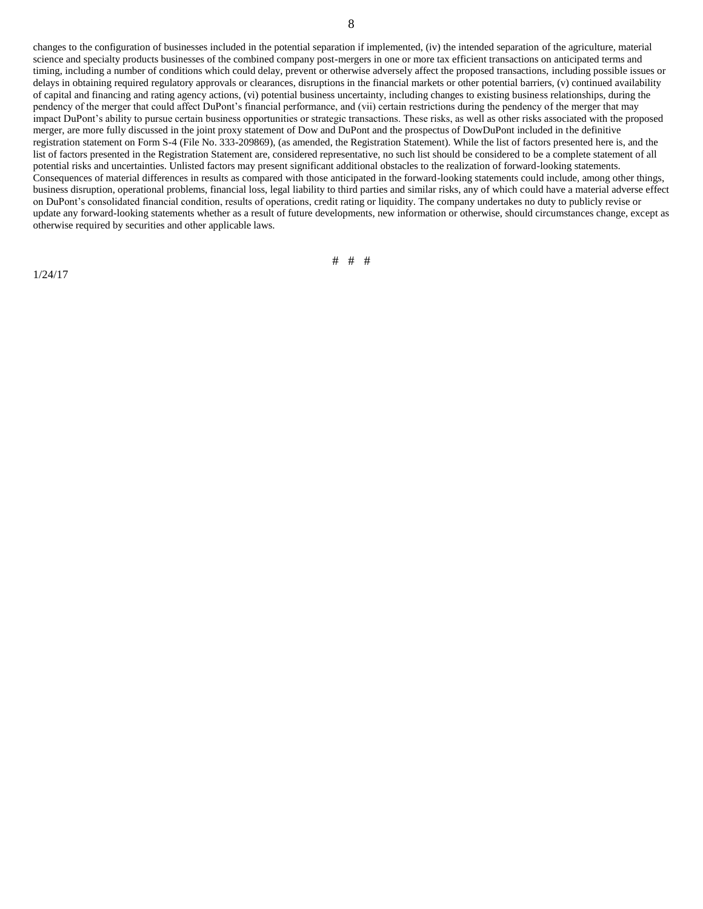changes to the configuration of businesses included in the potential separation if implemented, (iv) the intended separation of the agriculture, material science and specialty products businesses of the combined company post-mergers in one or more tax efficient transactions on anticipated terms and timing, including a number of conditions which could delay, prevent or otherwise adversely affect the proposed transactions, including possible issues or delays in obtaining required regulatory approvals or clearances, disruptions in the financial markets or other potential barriers, (v) continued availability of capital and financing and rating agency actions, (vi) potential business uncertainty, including changes to existing business relationships, during the pendency of the merger that could affect DuPont's financial performance, and (vii) certain restrictions during the pendency of the merger that may impact DuPont's ability to pursue certain business opportunities or strategic transactions. These risks, as well as other risks associated with the proposed merger, are more fully discussed in the joint proxy statement of Dow and DuPont and the prospectus of DowDuPont included in the definitive registration statement on Form S-4 (File No. 333-209869), (as amended, the Registration Statement). While the list of factors presented here is, and the list of factors presented in the Registration Statement are, considered representative, no such list should be considered to be a complete statement of all potential risks and uncertainties. Unlisted factors may present significant additional obstacles to the realization of forward-looking statements. Consequences of material differences in results as compared with those anticipated in the forward-looking statements could include, among other things, business disruption, operational problems, financial loss, legal liability to third parties and similar risks, any of which could have a material adverse effect on DuPont's consolidated financial condition, results of operations, credit rating or liquidity. The company undertakes no duty to publicly revise or update any forward-looking statements whether as a result of future developments, new information or otherwise, should circumstances change, except as otherwise required by securities and other applicable laws.

1/24/17

# # #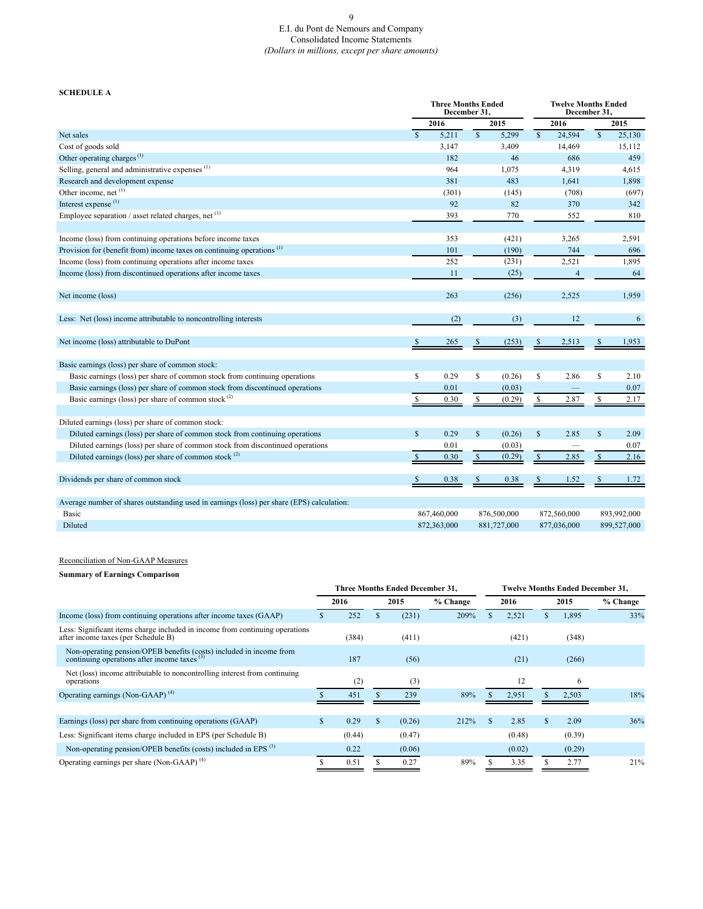## E.I. du Pont de Nemours and Company Consolidated Income Statements *(Dollars in millions, except per share amounts)*

### **SCHEDULE A**

|                                                                                           |               | <b>Three Months Ended</b><br>December 31. |               |             |               | December 31.   | <b>Twelve Months Ended</b> |             |
|-------------------------------------------------------------------------------------------|---------------|-------------------------------------------|---------------|-------------|---------------|----------------|----------------------------|-------------|
|                                                                                           |               | 2016                                      |               | 2015        |               | 2016           |                            | 2015        |
| Net sales                                                                                 | <sup>\$</sup> | 5,211                                     | $\mathbf S$   | 5,299       | $\mathbf S$   | 24.594         | $\mathbf S$                | 25,130      |
| Cost of goods sold                                                                        |               | 3,147                                     |               | 3,409       |               | 14,469         |                            | 15,112      |
| Other operating charges <sup><math>(1)</math></sup>                                       |               | 182                                       |               | 46          |               | 686            |                            | 459         |
| Selling, general and administrative expenses <sup>(1)</sup>                               |               | 964                                       |               | 1,075       |               | 4,319          |                            | 4,615       |
| Research and development expense                                                          |               | 381                                       |               | 483         |               | 1,641          |                            | 1,898       |
| Other income, net (1)                                                                     |               | (301)                                     |               | (145)       |               | (708)          |                            | (697)       |
| Interest expense $(1)$                                                                    |               | 92                                        |               | 82          |               | 370            |                            | 342         |
| Employee separation / asset related charges, net $(1)$                                    |               | 393                                       |               | 770         |               | 552            |                            | 810         |
| Income (loss) from continuing operations before income taxes                              |               | 353                                       |               | (421)       |               | 3,265          |                            | 2,591       |
| Provision for (benefit from) income taxes on continuing operations <sup>(1)</sup>         |               | 101                                       |               | (190)       |               | 744            |                            | 696         |
| Income (loss) from continuing operations after income taxes                               |               | 252                                       |               | (231)       |               | 2,521          |                            | 1,895       |
| Income (loss) from discontinued operations after income taxes                             |               | 11                                        |               | (25)        |               | $\overline{4}$ |                            | 64          |
| Net income (loss)                                                                         |               | 263                                       |               | (256)       |               | 2,525          |                            | 1,959       |
| Less: Net (loss) income attributable to noncontrolling interests                          |               | (2)                                       |               | (3)         |               | 12             |                            | 6           |
| Net income (loss) attributable to DuPont                                                  | -S            | 265                                       |               | (253)       |               | 2,513          |                            | 1,953       |
| Basic earnings (loss) per share of common stock:                                          |               |                                           |               |             |               |                |                            |             |
| Basic earnings (loss) per share of common stock from continuing operations                | <sup>\$</sup> | 0.29                                      | \$            | (0.26)      | $\mathbb{S}$  | 2.86           | S                          | 2.10        |
| Basic earnings (loss) per share of common stock from discontinued operations              |               | 0.01                                      |               | (0.03)      |               |                |                            | 0.07        |
| Basic earnings (loss) per share of common stock $(2)$                                     | \$            | 0.30                                      | \$            | (0.29)      | S             | 2.87           | \$                         | 2.17        |
|                                                                                           |               |                                           |               |             |               |                |                            |             |
| Diluted earnings (loss) per share of common stock:                                        |               |                                           |               |             |               |                |                            |             |
| Diluted earnings (loss) per share of common stock from continuing operations              | <sup>\$</sup> | 0.29                                      | $\mathsf{\$}$ | (0.26)      | $\mathsf{\$}$ | 2.85           | $\mathsf{\$}$              | 2.09        |
| Diluted earnings (loss) per share of common stock from discontinued operations            |               | 0.01                                      |               | (0.03)      |               |                |                            | 0.07        |
| Diluted earnings (loss) per share of common stock $(2)$                                   | <sup>\$</sup> | 0.30                                      | $\mathbb{S}$  | (0.29)      | <sup>\$</sup> | 2.85           | $\mathcal{S}$              | 2.16        |
| Dividends per share of common stock                                                       |               | 0.38                                      |               | 0.38        |               | 1.52           |                            | 1.72        |
| Average number of shares outstanding used in earnings (loss) per share (EPS) calculation: |               |                                           |               |             |               |                |                            |             |
| Basic                                                                                     |               | 867,460,000                               |               | 876,500,000 |               | 872,560,000    |                            | 893,992,000 |
| Diluted                                                                                   |               | 872,363,000                               |               | 881,727,000 |               | 877,036,000    |                            | 899,527,000 |

### Reconciliation of Non-GAAP Measures

## **Summary of Earnings Comparison**

|                                                                                                                             | <b>Three Months Ended December 31.</b> |        |      |        |          |      | <b>Twelve Months Ended December 31,</b> |      |        |          |  |
|-----------------------------------------------------------------------------------------------------------------------------|----------------------------------------|--------|------|--------|----------|------|-----------------------------------------|------|--------|----------|--|
|                                                                                                                             | 2016                                   |        | 2015 |        | % Change | 2016 |                                         | 2015 |        | % Change |  |
| Income (loss) from continuing operations after income taxes (GAAP)                                                          |                                        | 252    |      | (231)  | 209%     |      | 2,521                                   |      | 1,895  | 33%      |  |
| Less: Significant items charge included in income from continuing operations<br>after income taxes (per Schedule B)         |                                        | (384)  |      | (411)  |          |      | (421)                                   |      | (348)  |          |  |
| Non-operating pension/OPEB benefits (costs) included in income from continuing operations after income taxes <sup>(3)</sup> |                                        | 187    |      | (56)   |          |      | (21)                                    |      | (266)  |          |  |
| Net (loss) income attributable to noncontrolling interest from continuing<br>operations                                     |                                        | (2)    |      | (3)    |          |      | 12                                      |      | 6      |          |  |
| Operating earnings (Non-GAAP) $(4)$                                                                                         |                                        | 451    |      | 239    | 89%      |      | 2,951                                   |      | 2.503  | 18%      |  |
|                                                                                                                             |                                        |        |      |        |          |      |                                         |      |        |          |  |
| Earnings (loss) per share from continuing operations (GAAP)                                                                 | \$                                     | 0.29   | S    | (0.26) | 212%     |      | 2.85                                    |      | 2.09   | 36%      |  |
| Less: Significant items charge included in EPS (per Schedule B)                                                             |                                        | (0.44) |      | (0.47) |          |      | (0.48)                                  |      | (0.39) |          |  |
| Non-operating pension/OPEB benefits (costs) included in EPS <sup>(3)</sup>                                                  |                                        | 0.22   |      | (0.06) |          |      | (0.02)                                  |      | (0.29) |          |  |
| Operating earnings per share (Non-GAAP) $(4)$                                                                               |                                        | 0.51   |      | 0.27   | 89%      |      | 3.35                                    |      | 2.77   | 21%      |  |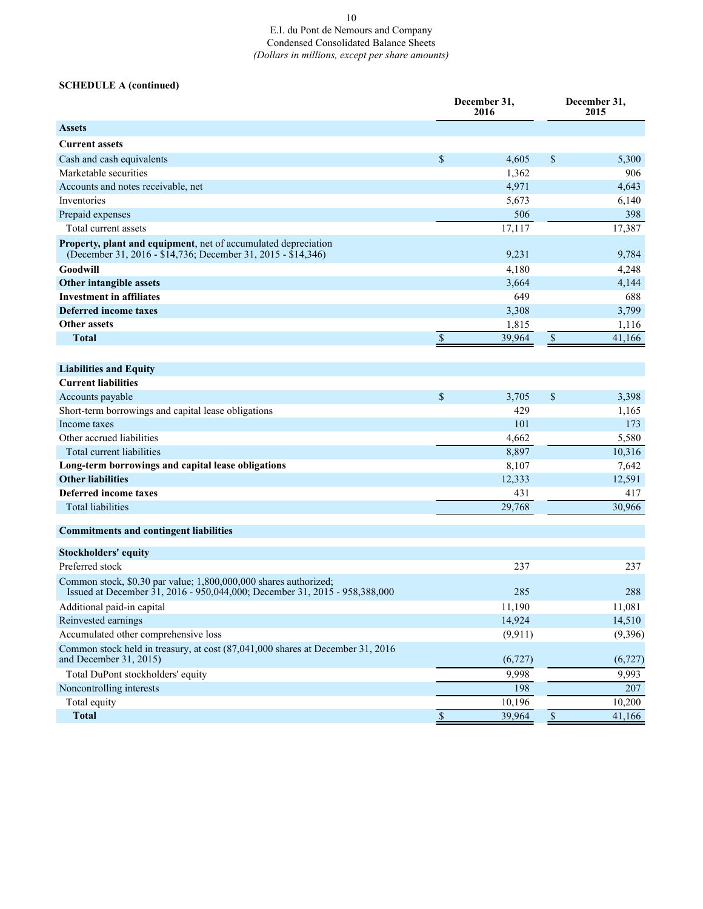### 10 E.I. du Pont de Nemours and Company Condensed Consolidated Balance Sheets *(Dollars in millions, except per share amounts)*

## **SCHEDULE A (continued)**

|                                                                                                                                                |                           | December 31,<br>2016 |               | December 31,<br>2015 |  |
|------------------------------------------------------------------------------------------------------------------------------------------------|---------------------------|----------------------|---------------|----------------------|--|
| <b>Assets</b>                                                                                                                                  |                           |                      |               |                      |  |
| <b>Current assets</b>                                                                                                                          |                           |                      |               |                      |  |
| Cash and cash equivalents                                                                                                                      | \$                        | 4,605                | $\mathcal{S}$ | 5,300                |  |
| Marketable securities                                                                                                                          |                           | 1,362                |               | 906                  |  |
| Accounts and notes receivable, net                                                                                                             |                           | 4,971                |               | 4,643                |  |
| Inventories                                                                                                                                    |                           | 5,673                |               | 6,140                |  |
| Prepaid expenses                                                                                                                               |                           | 506                  |               | 398                  |  |
| Total current assets                                                                                                                           |                           | 17,117               |               | 17,387               |  |
| Property, plant and equipment, net of accumulated depreciation<br>(December 31, 2016 - \$14,736; December 31, 2015 - \$14,346)                 |                           | 9,231                |               | 9,784                |  |
| Goodwill                                                                                                                                       |                           | 4,180                |               | 4,248                |  |
| Other intangible assets                                                                                                                        |                           | 3,664                |               | 4,144                |  |
| <b>Investment in affiliates</b>                                                                                                                |                           | 649                  |               | 688                  |  |
| <b>Deferred income taxes</b>                                                                                                                   |                           | 3,308                |               | 3,799                |  |
| <b>Other assets</b>                                                                                                                            |                           | 1,815                |               | 1,116                |  |
| <b>Total</b>                                                                                                                                   | $\boldsymbol{\mathsf{S}}$ | 39,964               | $\$$          | 41,166               |  |
|                                                                                                                                                |                           |                      |               |                      |  |
| <b>Liabilities and Equity</b>                                                                                                                  |                           |                      |               |                      |  |
| <b>Current liabilities</b>                                                                                                                     |                           |                      |               |                      |  |
| Accounts payable                                                                                                                               | $\mathcal{S}$             | 3,705                | \$            | 3,398                |  |
| Short-term borrowings and capital lease obligations                                                                                            |                           | 429                  |               | 1,165                |  |
| Income taxes                                                                                                                                   |                           | 101                  |               | 173                  |  |
| Other accrued liabilities                                                                                                                      |                           | 4,662                |               | 5,580                |  |
| Total current liabilities                                                                                                                      |                           | 8,897                |               | 10,316               |  |
| Long-term borrowings and capital lease obligations                                                                                             |                           | 8,107                |               | 7,642                |  |
| <b>Other liabilities</b>                                                                                                                       |                           | 12,333               |               | 12,591               |  |
| Deferred income taxes                                                                                                                          |                           | 431                  |               | 417                  |  |
| <b>Total liabilities</b>                                                                                                                       |                           | 29,768               |               | 30,966               |  |
| <b>Commitments and contingent liabilities</b>                                                                                                  |                           |                      |               |                      |  |
| <b>Stockholders' equity</b>                                                                                                                    |                           |                      |               |                      |  |
| Preferred stock                                                                                                                                |                           | 237                  |               | 237                  |  |
| Common stock, \$0.30 par value; 1,800,000,000 shares authorized;<br>Issued at December 31, 2016 - 950,044,000; December 31, 2015 - 958,388,000 |                           | 285                  |               | 288                  |  |
| Additional paid-in capital                                                                                                                     |                           | 11,190               |               | 11,081               |  |
| Reinvested earnings                                                                                                                            |                           | 14,924               |               | 14,510               |  |
| Accumulated other comprehensive loss                                                                                                           |                           | (9, 911)             |               | (9,396)              |  |
| Common stock held in treasury, at cost (87,041,000 shares at December 31, 2016)<br>and December 31, 2015)                                      |                           | (6, 727)             |               | (6, 727)             |  |
| Total DuPont stockholders' equity                                                                                                              |                           | 9,998                |               | 9,993                |  |
| Noncontrolling interests                                                                                                                       |                           | 198                  |               | 207                  |  |
| Total equity                                                                                                                                   |                           | 10,196               |               | 10,200               |  |
| <b>Total</b>                                                                                                                                   | $\overline{\$}$           | 39,964               | $\mathbb S$   | 41,166               |  |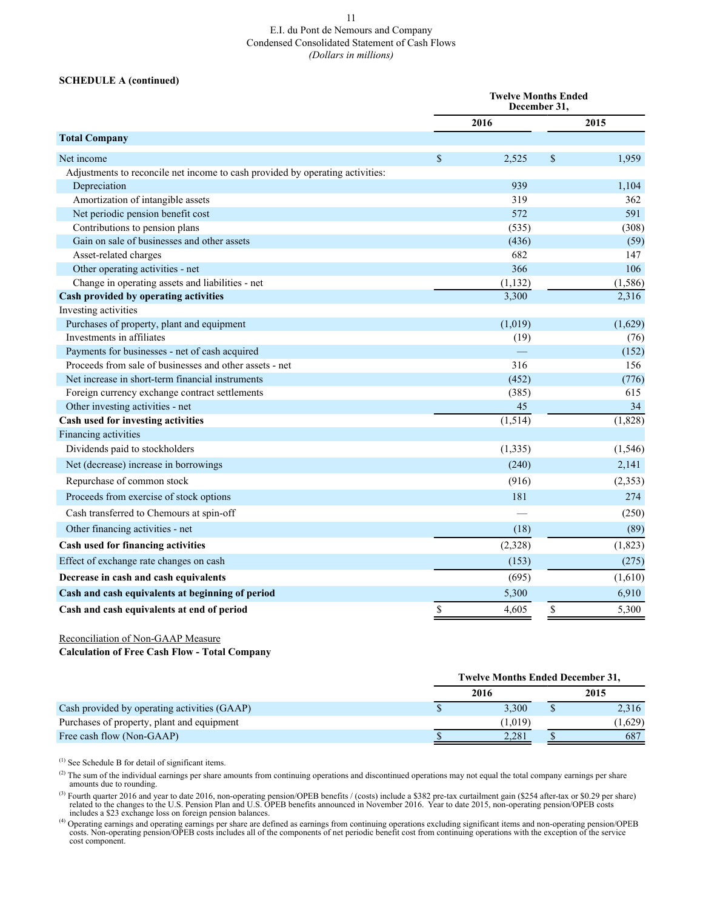# E.I. du Pont de Nemours and Company Condensed Consolidated Statement of Cash Flows *(Dollars in millions)*

### **SCHEDULE A (continued)**

|                                                                               |               | <b>Twelve Months Ended</b><br>December 31, |    |          |  |
|-------------------------------------------------------------------------------|---------------|--------------------------------------------|----|----------|--|
|                                                                               |               | 2016                                       |    | 2015     |  |
| <b>Total Company</b>                                                          |               |                                            |    |          |  |
| Net income                                                                    | $\mathcal{S}$ | 2,525                                      | \$ | 1,959    |  |
| Adjustments to reconcile net income to cash provided by operating activities: |               |                                            |    |          |  |
| Depreciation                                                                  |               | 939                                        |    | 1,104    |  |
| Amortization of intangible assets                                             |               | 319                                        |    | 362      |  |
| Net periodic pension benefit cost                                             |               | 572                                        |    | 591      |  |
| Contributions to pension plans                                                |               | (535)                                      |    | (308)    |  |
| Gain on sale of businesses and other assets                                   |               | (436)                                      |    | (59)     |  |
| Asset-related charges                                                         |               | 682                                        |    | 147      |  |
| Other operating activities - net                                              |               | 366                                        |    | 106      |  |
| Change in operating assets and liabilities - net                              |               | (1, 132)                                   |    | (1, 586) |  |
| Cash provided by operating activities                                         |               | 3,300                                      |    | 2,316    |  |
| Investing activities                                                          |               |                                            |    |          |  |
| Purchases of property, plant and equipment                                    |               | (1,019)                                    |    | (1,629)  |  |
| Investments in affiliates                                                     |               | (19)                                       |    | (76)     |  |
| Payments for businesses - net of cash acquired                                |               |                                            |    | (152)    |  |
| Proceeds from sale of businesses and other assets - net                       |               | 316                                        |    | 156      |  |
| Net increase in short-term financial instruments                              |               | (452)                                      |    | (776)    |  |
| Foreign currency exchange contract settlements                                |               | (385)                                      |    | 615      |  |
| Other investing activities - net                                              |               | 45                                         |    | 34       |  |
| Cash used for investing activities                                            |               | (1, 514)                                   |    | (1,828)  |  |
| Financing activities                                                          |               |                                            |    |          |  |
| Dividends paid to stockholders                                                |               | (1, 335)                                   |    | (1, 546) |  |
| Net (decrease) increase in borrowings                                         |               | (240)                                      |    | 2,141    |  |
| Repurchase of common stock                                                    |               | (916)                                      |    | (2, 353) |  |
| Proceeds from exercise of stock options                                       |               | 181                                        |    | 274      |  |
| Cash transferred to Chemours at spin-off                                      |               |                                            |    | (250)    |  |
| Other financing activities - net                                              |               | (18)                                       |    | (89)     |  |
| Cash used for financing activities                                            |               | (2,328)                                    |    | (1, 823) |  |
| Effect of exchange rate changes on cash                                       |               | (153)                                      |    | (275)    |  |
| Decrease in cash and cash equivalents                                         |               | (695)                                      |    | (1,610)  |  |
| Cash and cash equivalents at beginning of period                              |               | 5,300                                      |    | 6,910    |  |
| Cash and cash equivalents at end of period                                    | \$            | 4,605                                      | \$ | 5,300    |  |

Reconciliation of Non-GAAP Measure

**Calculation of Free Cash Flow - Total Company**

|                                              |      | <b>Twelve Months Ended December 31,</b> |         |
|----------------------------------------------|------|-----------------------------------------|---------|
|                                              | 2016 |                                         | 2015    |
| Cash provided by operating activities (GAAP) |      | 3.300                                   | 2,316   |
| Purchases of property, plant and equipment   |      | (1.019)                                 | (1,629) |
| Free cash flow (Non-GAAP)                    |      | 2.281                                   | 687     |

 $(1)$  See Schedule B for detail of significant items.

<sup>(2)</sup> The sum of the individual earnings per share amounts from continuing operations and discontinued operations may not equal the total company earnings per share amounts due to rounding.

<sup>(3)</sup> Fourth quarter 2016 and year to date 2016, non-operating pension/OPEB benefits / (costs) include a \$382 pre-tax curtailment gain (\$254 after-tax or \$0.29 per share) related to the changes to the U.S. Pension Plan and

<sup>(4)</sup> Operating earnings and operating earnings per share are defined as earnings from continuing operations excluding significant items and non-operating pension/OPEB costs includes all of the components of net periodic cost component.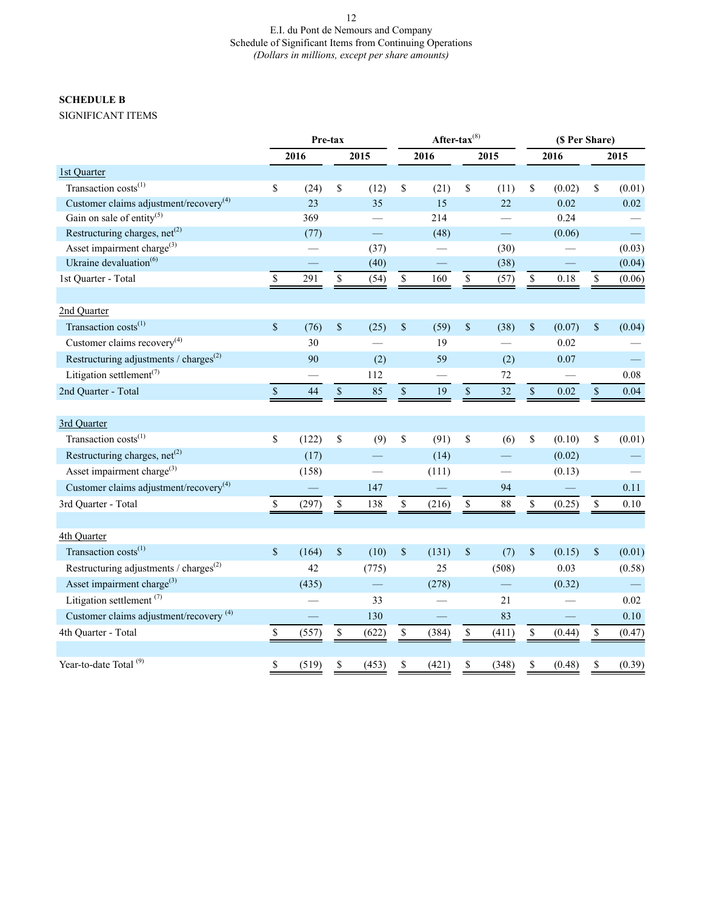# E.I. du Pont de Nemours and Company Schedule of Significant Items from Continuing Operations *(Dollars in millions, except per share amounts)*

## **SCHEDULE B**

SIGNIFICANT ITEMS

|                                                                 | Pre-tax            |       |              |       | After-tax $(8)$ |       |                          |                          | (\$ Per Share)                                                        |          |                      |          |
|-----------------------------------------------------------------|--------------------|-------|--------------|-------|-----------------|-------|--------------------------|--------------------------|-----------------------------------------------------------------------|----------|----------------------|----------|
|                                                                 |                    | 2016  |              | 2015  |                 | 2016  |                          | 2015                     |                                                                       | 2016     |                      | 2015     |
| 1st Quarter                                                     |                    |       |              |       |                 |       |                          |                          |                                                                       |          |                      |          |
| Transaction costs <sup>(1)</sup>                                | \$                 | (24)  | \$           | (12)  | \$              | (21)  | \$                       | (11)                     | \$                                                                    | (0.02)   | \$                   | (0.01)   |
| Customer claims adjustment/recovery <sup>(4)</sup>              |                    | 23    |              | 35    |                 | 15    |                          | 22                       |                                                                       | 0.02     |                      | 0.02     |
| Gain on sale of entity <sup>(5)</sup>                           |                    | 369   |              |       |                 | 214   |                          |                          |                                                                       | 0.24     |                      |          |
| Restructuring charges, $net(2)$                                 |                    | (77)  |              |       |                 | (48)  |                          | $\equiv$                 |                                                                       | (0.06)   |                      | $\equiv$ |
| Asset impairment charge <sup>(3)</sup>                          |                    |       |              | (37)  |                 |       |                          | (30)                     |                                                                       |          |                      | (0.03)   |
| Ukraine devaluation <sup>(6)</sup>                              |                    |       |              | (40)  |                 |       |                          | (38)                     |                                                                       |          |                      | (0.04)   |
| 1st Quarter - Total                                             | \$                 | 291   | $\mathbb{S}$ | (54)  | $\mathbb{S}$    | 160   | $\mathbb S$              | (57)                     | $\mathbb{S}$                                                          | $0.18\,$ | $\mathbb S$          | (0.06)   |
| 2nd Quarter                                                     |                    |       |              |       |                 |       |                          |                          |                                                                       |          |                      |          |
| Transaction costs <sup>(1)</sup>                                | $\mathbf{\hat{S}}$ | (76)  | $\$$         | (25)  | \$              | (59)  | \$                       | (38)                     | $\$$                                                                  | (0.07)   | $\,$                 | (0.04)   |
| Customer claims recovery <sup>(4)</sup>                         |                    | 30    |              |       |                 | 19    |                          |                          |                                                                       | 0.02     |                      |          |
| Restructuring adjustments / $\text{charges}^{(2)}$              |                    | 90    |              | (2)   |                 | 59    |                          | (2)                      |                                                                       | 0.07     |                      |          |
| Litigation settlement <sup>(7)</sup>                            |                    |       |              | 112   |                 |       |                          | 72                       |                                                                       |          |                      | 0.08     |
| 2nd Quarter - Total                                             | $\mathbb S$        | 44    | $\mathbb S$  | 85    | $\mathbb S$     | 19    | $\overline{\mathcal{S}}$ | 32                       | $\sqrt{\ }$                                                           | 0.02     | $\sqrt{\frac{1}{2}}$ | 0.04     |
| 3rd Quarter                                                     |                    |       |              |       |                 |       |                          |                          |                                                                       |          |                      |          |
| Transaction costs <sup>(1)</sup>                                | \$                 | (122) | \$           | (9)   | \$              | (91)  | \$                       | (6)                      | $\mathbb{S}$                                                          | (0.10)   | \$                   | (0.01)   |
| Restructuring charges, $net(2)$                                 |                    | (17)  |              |       |                 | (14)  |                          |                          |                                                                       | (0.02)   |                      |          |
| Asset impairment charge <sup>(3)</sup>                          |                    | (158) |              |       |                 | (111) |                          |                          |                                                                       | (0.13)   |                      |          |
| Customer claims adjustment/recovery $(4)$                       |                    |       |              | 147   |                 |       |                          | 94                       |                                                                       |          |                      | 0.11     |
| 3rd Quarter - Total                                             | \$                 | (297) | $\mathbb{S}$ | 138   | $\mathbb S$     | (216) | $\mathbb S$              | $88\,$                   | \$                                                                    | (0.25)   | $\mathbb S$          | 0.10     |
|                                                                 |                    |       |              |       |                 |       |                          |                          |                                                                       |          |                      |          |
| 4th Quarter                                                     |                    |       |              |       |                 |       |                          |                          |                                                                       |          |                      |          |
| Transaction costs <sup>(1)</sup>                                | \$                 | (164) | $\$$         | (10)  | $\$$            | (131) | \$                       | (7)                      | $\$$                                                                  | (0.15)   | $\$$                 | (0.01)   |
| Restructuring adjustments / charges <sup><math>(2)</math></sup> |                    | 42    |              | (775) |                 | 25    |                          | (508)                    |                                                                       | 0.03     |                      | (0.58)   |
| Asset impairment charge <sup>(3)</sup>                          |                    | (435) |              | —     |                 | (278) |                          | $\overline{\phantom{0}}$ |                                                                       | (0.32)   |                      |          |
| Litigation settlement <sup>(7)</sup>                            |                    |       |              | 33    |                 |       |                          | 21                       |                                                                       |          |                      | 0.02     |
| Customer claims adjustment/recovery <sup>(4)</sup>              |                    |       |              | 130   |                 |       |                          | 83                       |                                                                       |          |                      | 0.10     |
| 4th Quarter - Total                                             | \$                 | (557) | $\mathbb S$  | (622) | \$              | (384) | $\mathbb S$              | (411)                    | $\mathbb{S}% _{t}\left( t\right) \equiv\mathbb{S}_{t}\left( t\right)$ | (0.44)   | $\mathbb S$          | (0.47)   |
| Year-to-date Total <sup>(9)</sup>                               | \$                 | (519) | \$           | (453) | \$              | (421) | \$                       | (348)                    | \$                                                                    | (0.48)   | \$                   | (0.39)   |
|                                                                 |                    |       |              |       |                 |       |                          |                          |                                                                       |          |                      |          |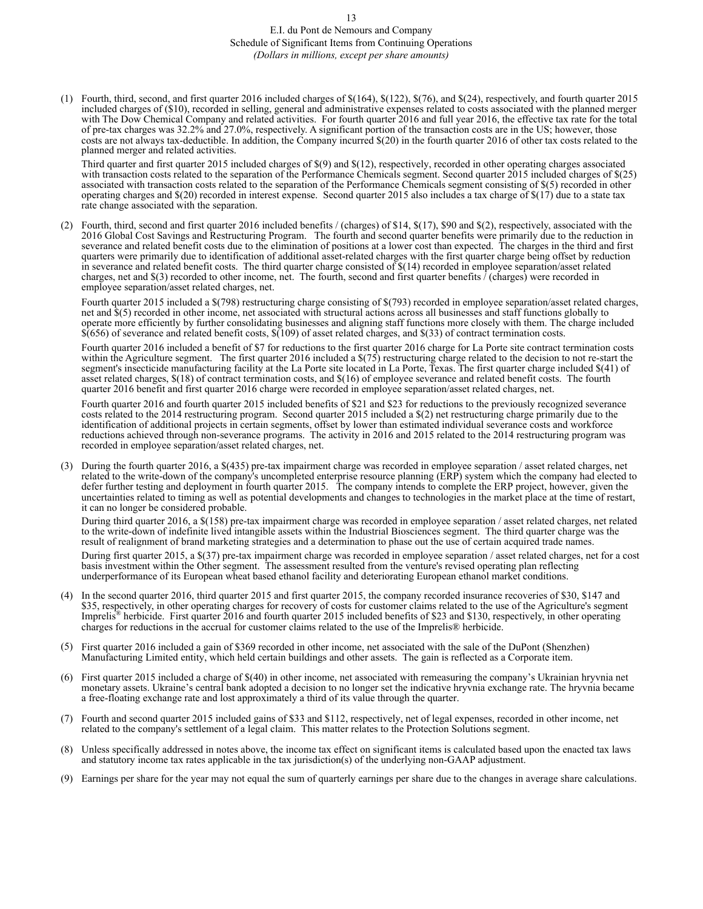## E.I. du Pont de Nemours and Company Schedule of Significant Items from Continuing Operations *(Dollars in millions, except per share amounts)*

(1) Fourth, third, second, and first quarter 2016 included charges of \$(164), \$(122), \$(76), and \$(24), respectively, and fourth quarter 2015 included charges of (\$10), recorded in selling, general and administrative expenses related to costs associated with the planned merger with The Dow Chemical Company and related activities. For fourth quarter 2016 and full year 2016, the effective tax rate for the total of pre-tax charges was 32.2% and 27.0%, respectively. A significant portion of the transaction costs are in the US; however, those costs are not always tax-deductible. In addition, the Company incurred \$(20) in the fourth quarter 2016 of other tax costs related to the planned merger and related activities.

Third quarter and first quarter 2015 included charges of \$(9) and \$(12), respectively, recorded in other operating charges associated with transaction costs related to the separation of the Performance Chemicals segment. Second quarter 2015 included charges of \$(25) associated with transaction costs related to the separation of the Performance Chemicals segment consisting of \$(5) recorded in other operating charges and \$(20) recorded in interest expense. Second quarter 2015 also includes a tax charge of \$(17) due to a state tax rate change associated with the separation.

(2) Fourth, third, second and first quarter 2016 included benefits / (charges) of \$14, \$(17), \$90 and \$(2), respectively, associated with the 2016 Global Cost Savings and Restructuring Program. The fourth and second quarter benefits were primarily due to the reduction in severance and related benefit costs due to the elimination of positions at a lower cost than expected. The charges in the third and first quarters were primarily due to identification of additional asset-related charges with the first quarter charge being offset by reduction in severance and related benefit costs. The third quarter charge consisted of  $\S(14)$  recorded in employee separation/asset related charges, net and \$(3) recorded to other income, net. The fourth, second and first quarter benefits / (charges) were recorded in employee separation/asset related charges, net.

Fourth quarter 2015 included a \$(798) restructuring charge consisting of \$(793) recorded in employee separation/asset related charges, net and \$(5) recorded in other income, net associated with structural actions across all businesses and staff functions globally to operate more efficiently by further consolidating businesses and aligning staff functions more closely with them. The charge included  $$(656)$  of severance and related benefit costs,  $$(109)$  of asset related charges, and  $$(33)$  of contract termination costs.

Fourth quarter 2016 included a benefit of \$7 for reductions to the first quarter 2016 charge for La Porte site contract termination costs within the Agriculture segment. The first quarter 2016 included a \$(75) restructuring charge related to the decision to not re-start the segment's insecticide manufacturing facility at the La Porte site located in La Porte, Texas. The first quarter charge included \$(41) of asset related charges, \$(18) of contract termination costs, and \$(16) of employee severance and related benefit costs. The fourth quarter 2016 benefit and first quarter 2016 charge were recorded in employee separation/asset related charges, net.

Fourth quarter 2016 and fourth quarter 2015 included benefits of \$21 and \$23 for reductions to the previously recognized severance costs related to the 2014 restructuring program. Second quarter 2015 included a \$(2) net restructuring charge primarily due to the identification of additional projects in certain segments, offset by lower than estimated individual severance costs and workforce reductions achieved through non-severance programs. The activity in 2016 and 2015 related to the 2014 restructuring program was recorded in employee separation/asset related charges, net.

(3) During the fourth quarter 2016, a \$(435) pre-tax impairment charge was recorded in employee separation / asset related charges, net related to the write-down of the company's uncompleted enterprise resource planning (ERP) system which the company had elected to defer further testing and deployment in fourth quarter 2015. The company intends to complete the ERP project, however, given the uncertainties related to timing as well as potential developments and changes to technologies in the market place at the time of restart, it can no longer be considered probable.

During third quarter 2016, a \$(158) pre-tax impairment charge was recorded in employee separation / asset related charges, net related to the write-down of indefinite lived intangible assets within the Industrial Biosciences segment. The third quarter charge was the result of realignment of brand marketing strategies and a determination to phase out the use of certain acquired trade names.

During first quarter 2015, a \$(37) pre-tax impairment charge was recorded in employee separation / asset related charges, net for a cost basis investment within the Other segment. The assessment resulted from the venture's revised operating plan reflecting underperformance of its European wheat based ethanol facility and deteriorating European ethanol market conditions.

- (4) In the second quarter 2016, third quarter 2015 and first quarter 2015, the company recorded insurance recoveries of \$30, \$147 and \$35, respectively, in other operating charges for recovery of costs for customer claims related to the use of the Agriculture's segment Imprelis<sup>®</sup> herbicide. First quarter 2016 and fourth quarter 2015 included benefits of \$23 and \$130, respectively, in other operating charges for reductions in the accrual for customer claims related to the use of the Imprelis® herbicide.
- (5) First quarter 2016 included a gain of \$369 recorded in other income, net associated with the sale of the DuPont (Shenzhen) Manufacturing Limited entity, which held certain buildings and other assets. The gain is reflected as a Corporate item.
- (6) First quarter 2015 included a charge of \$(40) in other income, net associated with remeasuring the company's Ukrainian hryvnia net monetary assets. Ukraine's central bank adopted a decision to no longer set the indicative hryvnia exchange rate. The hryvnia became a free-floating exchange rate and lost approximately a third of its value through the quarter.
- (7) Fourth and second quarter 2015 included gains of \$33 and \$112, respectively, net of legal expenses, recorded in other income, net related to the company's settlement of a legal claim. This matter relates to the Protection Solutions segment.
- (8) Unless specifically addressed in notes above, the income tax effect on significant items is calculated based upon the enacted tax laws and statutory income tax rates applicable in the tax jurisdiction(s) of the underlying non-GAAP adjustment.
- (9) Earnings per share for the year may not equal the sum of quarterly earnings per share due to the changes in average share calculations.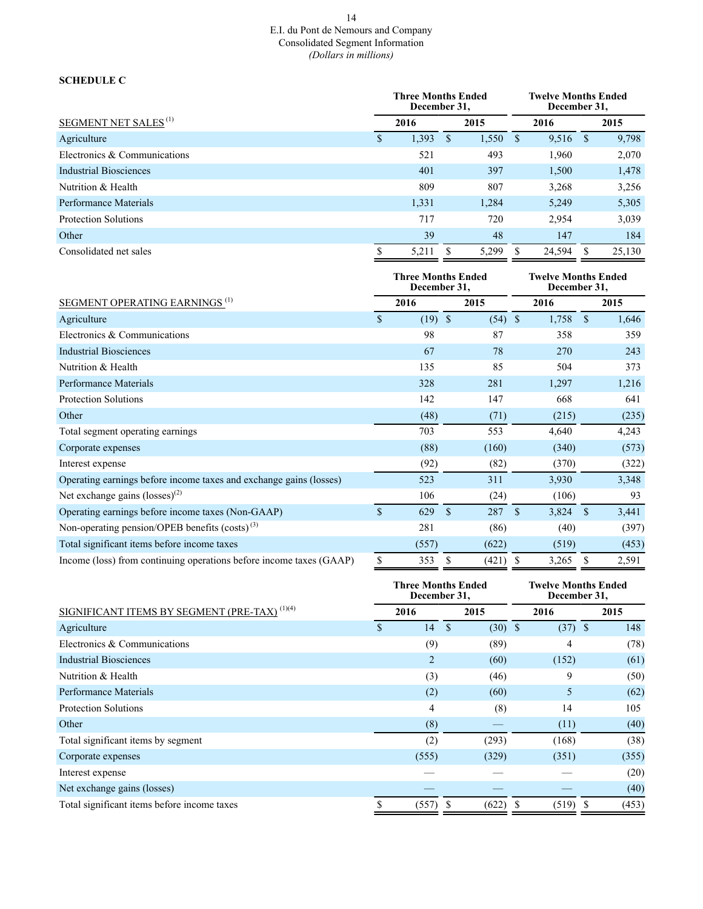### 14 E.I. du Pont de Nemours and Company Consolidated Segment Information *(Dollars in millions)*

## **SCHEDULE C**

|                                         |   | <b>Three Months Ended</b><br>December 31, |              | <b>Twelve Months Ended</b><br>December 31, |   |        |              |        |
|-----------------------------------------|---|-------------------------------------------|--------------|--------------------------------------------|---|--------|--------------|--------|
| <b>SEGMENT NET SALES</b> <sup>(1)</sup> |   | 2016                                      | 2015         |                                            |   | 2016   |              | 2015   |
| Agriculture                             | S | 1,393                                     | <sup>S</sup> | 1,550                                      | S | 9.516  | <sup>S</sup> | 9,798  |
| Electronics & Communications            |   | 521                                       |              | 493                                        |   | 1,960  |              | 2,070  |
| Industrial Biosciences                  |   | 401                                       |              | 397                                        |   | 1,500  |              | 1,478  |
| Nutrition & Health                      |   | 809                                       |              | 807                                        |   | 3,268  |              | 3,256  |
| Performance Materials                   |   | 1,331                                     |              | 1,284                                      |   | 5,249  |              | 5,305  |
| <b>Protection Solutions</b>             |   | 717                                       |              | 720                                        |   | 2,954  |              | 3,039  |
| Other                                   |   | 39                                        |              | 48                                         |   | 147    |              | 184    |
| Consolidated net sales                  |   | 5,211                                     |              | 5,299                                      |   | 24,594 |              | 25,130 |

|                                                                     |             |           | <b>Three Months Ended</b><br>December 31, |           |               | <b>Twelve Months Ended</b><br>December 31, |               |       |  |
|---------------------------------------------------------------------|-------------|-----------|-------------------------------------------|-----------|---------------|--------------------------------------------|---------------|-------|--|
| SEGMENT OPERATING EARNINGS <sup>(1)</sup>                           |             | 2016      |                                           | 2015      |               | 2016                                       |               | 2015  |  |
| Agriculture                                                         | \$          | $(19)$ \$ |                                           | $(54)$ \$ |               | 1,758                                      | $\mathbf S$   | 1,646 |  |
| Electronics & Communications                                        |             | 98        |                                           | 87        |               | 358                                        |               | 359   |  |
| <b>Industrial Biosciences</b>                                       |             | 67        |                                           | 78        |               | 270                                        |               | 243   |  |
| Nutrition & Health                                                  |             | 135       |                                           | 85        |               | 504                                        |               | 373   |  |
| Performance Materials                                               |             | 328       |                                           | 281       |               | 1,297                                      |               | 1,216 |  |
| <b>Protection Solutions</b>                                         |             | 142       |                                           | 147       |               | 668                                        |               | 641   |  |
| Other                                                               |             | (48)      |                                           | (71)      |               | (215)                                      |               | (235) |  |
| Total segment operating earnings                                    |             | 703       |                                           | 553       |               | 4,640                                      |               | 4,243 |  |
| Corporate expenses                                                  |             | (88)      |                                           | (160)     |               | (340)                                      |               | (573) |  |
| Interest expense                                                    |             | (92)      |                                           | (82)      |               | (370)                                      |               | (322) |  |
| Operating earnings before income taxes and exchange gains (losses)  |             | 523       |                                           | 311       |               | 3,930                                      |               | 3,348 |  |
| Net exchange gains $(\text{losses})^{(2)}$                          |             | 106       |                                           | (24)      |               | (106)                                      |               | 93    |  |
| Operating earnings before income taxes (Non-GAAP)                   | $\mathbf S$ | 629       | <sup>\$</sup>                             | 287       | <sup>\$</sup> | 3,824                                      | <sup>\$</sup> | 3,441 |  |
| Non-operating pension/OPEB benefits $(costs)$ <sup>(3)</sup>        |             | 281       |                                           | (86)      |               | (40)                                       |               | (397) |  |
| Total significant items before income taxes                         |             | (557)     |                                           | (622)     |               | (519)                                      |               | (453) |  |
| Income (loss) from continuing operations before income taxes (GAAP) | \$          | 353       | S                                         | (421)     |               | 3,265                                      | S             | 2,591 |  |

|                                                          | <b>Three Months Ended</b><br>December 31, |              | <b>Twelve Months Ended</b><br>December 31, |  |           |    |       |
|----------------------------------------------------------|-------------------------------------------|--------------|--------------------------------------------|--|-----------|----|-------|
| SIGNIFICANT ITEMS BY SEGMENT (PRE-TAX) <sup>(1)(4)</sup> | 2016                                      |              | 2015                                       |  | 2016      |    | 2015  |
| Agriculture                                              | 14                                        | $\mathbf{s}$ | $(30)$ \$                                  |  | $(37)$ \$ |    | 148   |
| Electronics & Communications                             | (9)                                       |              | (89)                                       |  | 4         |    | (78)  |
| <b>Industrial Biosciences</b>                            | $\overline{2}$                            |              | (60)                                       |  | (152)     |    | (61)  |
| Nutrition & Health                                       | (3)                                       |              | (46)                                       |  | 9         |    | (50)  |
| Performance Materials                                    | (2)                                       |              | (60)                                       |  | 5         |    | (62)  |
| <b>Protection Solutions</b>                              | 4                                         |              | (8)                                        |  | 14        |    | 105   |
| Other                                                    | (8)                                       |              |                                            |  | (11)      |    | (40)  |
| Total significant items by segment                       | (2)                                       |              | (293)                                      |  | (168)     |    | (38)  |
| Corporate expenses                                       | (555)                                     |              | (329)                                      |  | (351)     |    | (355) |
| Interest expense                                         |                                           |              |                                            |  |           |    | (20)  |
| Net exchange gains (losses)                              |                                           |              |                                            |  |           |    | (40)  |
| Total significant items before income taxes              | (557)                                     |              | (622)                                      |  | (519)     | -S | (453) |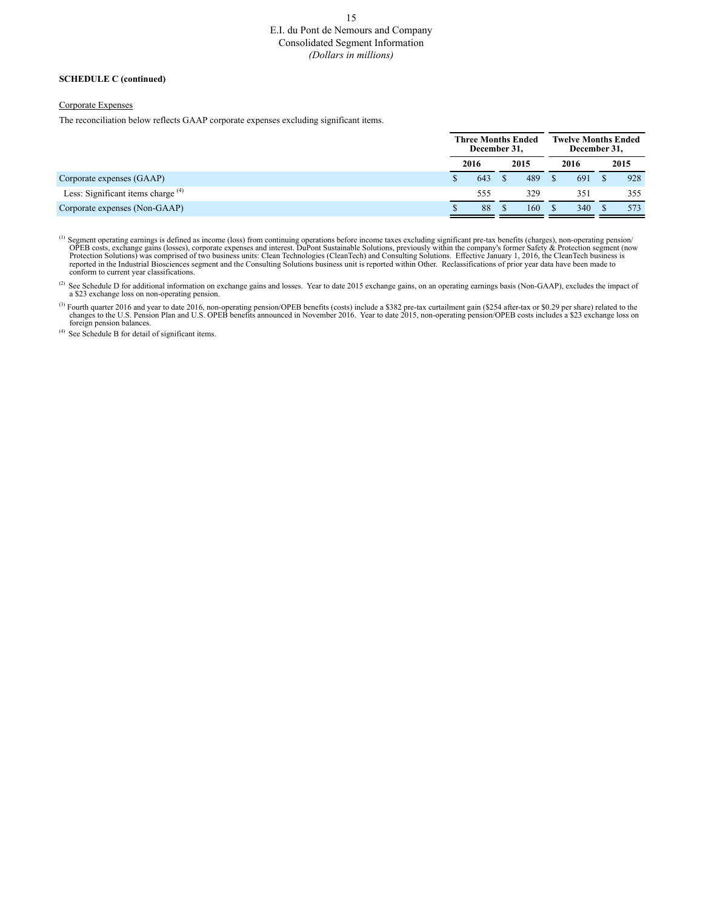# E.I. du Pont de Nemours and Company Consolidated Segment Information *(Dollars in millions)*

#### **SCHEDULE C (continued)**

#### Corporate Expenses

The reconciliation below reflects GAAP corporate expenses excluding significant items.

|                                      | <b>Three Months Ended</b><br>December 31, |      | <b>Twelve Months Ended</b><br>December 31, |      |  |      |  |
|--------------------------------------|-------------------------------------------|------|--------------------------------------------|------|--|------|--|
|                                      | 2016                                      | 2015 |                                            | 2016 |  | 2015 |  |
| Corporate expenses (GAAP)            | 643                                       | 489  |                                            | 691  |  | 928  |  |
| Less: Significant items charge $(4)$ | 555                                       | 329  |                                            | 351  |  | 355  |  |
| Corporate expenses (Non-GAAP)        | 88                                        | 160  |                                            | 340  |  | 573  |  |

<sup>(1)</sup> Segment operating earnings is defined as income (loss) from continuing operations before income taxes excluding significant pre-tax benefits (charges), non-operating pension/<br>OPEB costs, exchange gains (losses), cor

<sup>(2)</sup> See Schedule D for additional information on exchange gains and losses. Year to date 2015 exchange gains, on an operating earnings basis (Non-GAAP), excludes the impact of a \$23 exchange loss on non-operating pension.

<sup>(3)</sup> Fourth quarter 2016 and year to date 2016, non-operating pension/OPEB benefits (costs) include a \$382 pre-tax curtailment gain (\$254 after-tax or \$0.29 per share) related to the changes to the U.S. Pension Plan and U foreign pension balances.

(4) See Schedule B for detail of significant items.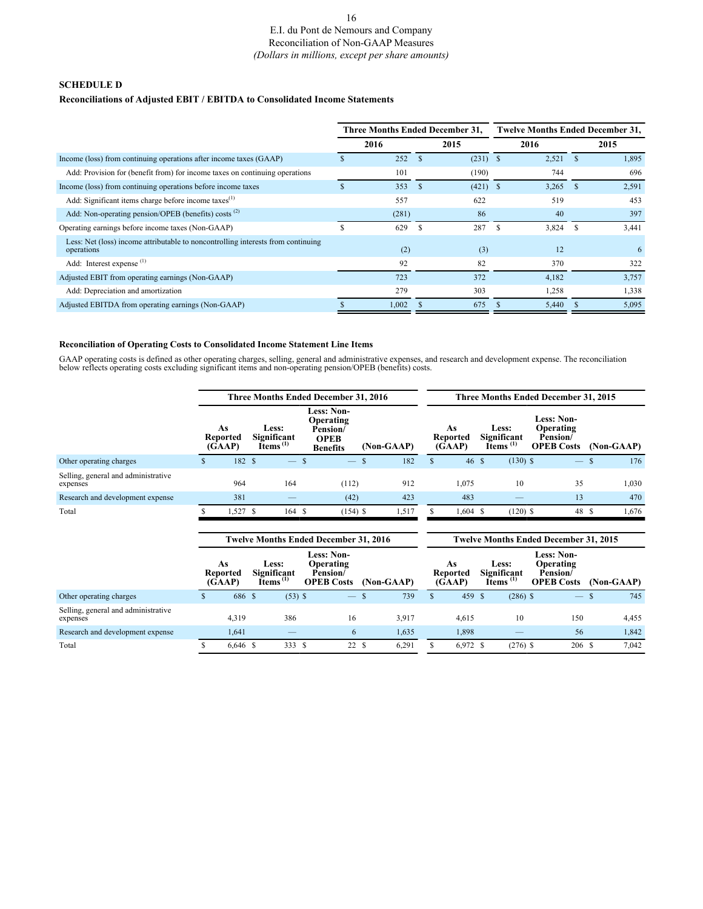### 16 E.I. du Pont de Nemours and Company Reconciliation of Non-GAAP Measures *(Dollars in millions, except per share amounts)*

## **SCHEDULE D**

## **Reconciliations of Adjusted EBIT / EBITDA to Consolidated Income Statements**

|       |      | 2015  |                                        | 2016                     |    | 2015                                    |
|-------|------|-------|----------------------------------------|--------------------------|----|-----------------------------------------|
| 252   |      |       |                                        | 2,521                    |    | 1,895                                   |
| 101   |      | (190) |                                        | 744                      |    | 696                                     |
| 353   | -S   |       |                                        | 3,265                    | -8 | 2,591                                   |
| 557   |      | 622   |                                        | 519                      |    | 453                                     |
| (281) |      | 86    |                                        | 40                       |    | 397                                     |
| 629   |      | 287   |                                        | 3,824                    | -8 | 3,441                                   |
| (2)   |      | (3)   |                                        | 12                       |    | 6                                       |
| 92    |      | 82    |                                        | 370                      |    | 322                                     |
| 723   |      | 372   |                                        | 4,182                    |    | 3,757                                   |
| 279   |      | 303   |                                        | 1,258                    |    | 1,338                                   |
| 1,002 |      | 675   |                                        | 5,440                    |    | 5,095                                   |
|       | 2016 |       | <b>Three Months Ended December 31,</b> | $(231)$ \$<br>$(421)$ \$ |    | <b>Twelve Months Ended December 31,</b> |

#### **Reconciliation of Operating Costs to Consolidated Income Statement Line Items**

GAAP operating costs is defined as other operating charges, selling, general and administrative expenses, and research and development expense. The reconciliation below reflects operating costs excluding significant items

|                                                 |    |                                 | Three Months Ended December 31, 2016 |                                                             |               |                                                                                              |              |                                 | Three Months Ended December 31, 2015   |                                |                                                                 |                     |  |  |
|-------------------------------------------------|----|---------------------------------|--------------------------------------|-------------------------------------------------------------|---------------|----------------------------------------------------------------------------------------------|--------------|---------------------------------|----------------------------------------|--------------------------------|-----------------------------------------------------------------|---------------------|--|--|
|                                                 |    | As<br><b>Reported</b><br>(GAAP) |                                      | Less:<br>Significant<br>Items $^{(1)}$                      |               | <b>Less: Non-</b><br>Operating<br>Pension/<br><b>OPEB</b><br>(Non-GAAP)<br><b>Benefits</b>   |              | As<br><b>Reported</b><br>(GAAP) | Less:<br>Significant<br>Items $^{(1)}$ |                                | <b>Less: Non-</b><br>Operating<br>Pension/<br><b>OPEB Costs</b> | $(Non-GAAP)$        |  |  |
| Other operating charges                         | S. | 182 \$                          |                                      | $\overline{\phantom{0}}$                                    | $\mathcal{S}$ | 182<br>\$.                                                                                   | $\mathbf{s}$ | 46S                             |                                        | $(130)$ \$                     | $\overline{\phantom{0}}$                                        | 176<br><sup>S</sup> |  |  |
| Selling, general and administrative<br>expenses |    | 964                             |                                      | 164                                                         |               | (112)<br>912                                                                                 |              | 1,075                           |                                        | 10                             | 35                                                              | 1,030               |  |  |
| Research and development expense                |    | 381                             |                                      |                                                             |               | (42)<br>423                                                                                  |              | 483                             |                                        | $\qquad \qquad \longleftarrow$ | 13                                                              | 470                 |  |  |
| Total                                           |    | $1,527$ \$                      |                                      | 164 \$                                                      |               | $(154)$ \$<br>1,517                                                                          |              | $1,604$ \$                      |                                        | $(120)$ \$                     | 48 \$                                                           | 1,676               |  |  |
|                                                 |    |                                 |                                      |                                                             |               |                                                                                              |              |                                 |                                        |                                |                                                                 |                     |  |  |
|                                                 |    |                                 |                                      |                                                             |               | <b>Twelve Months Ended December 31, 2016</b><br><b>Twelve Months Ended December 31, 2015</b> |              |                                 |                                        |                                |                                                                 |                     |  |  |
|                                                 |    |                                 |                                      |                                                             |               |                                                                                              |              |                                 |                                        |                                |                                                                 |                     |  |  |
|                                                 |    | As<br><b>Reported</b><br>(GAAP) |                                      | Less:<br>Significant<br>$\check{\rm{I}tems}$ <sup>(1)</sup> |               | <b>Less: Non-</b><br>Operating<br>Pension/<br><b>OPEB Costs</b><br>(Non-GAAP)                |              | As<br><b>Reported</b><br>(GAAP) | Less:<br>Significant<br>Items $(1)$    |                                | <b>Less: Non-</b><br>Operating<br>Pension/<br><b>OPEB Costs</b> | (Non-GAAP)          |  |  |
| Other operating charges                         |    | 686 \$                          |                                      | $(53)$ \$                                                   |               | 739<br>$\mathbf{\hat{s}}$                                                                    | \$           | 459 \$                          |                                        | $(286)$ \$                     | $\overline{\phantom{0}}$                                        | <sup>S</sup><br>745 |  |  |
| Selling, general and administrative<br>expenses |    | 4,319                           |                                      | 386                                                         |               | 16<br>3,917                                                                                  |              | 4,615                           |                                        | 10                             | 150                                                             | 4,455               |  |  |
| Research and development expense                |    | 1,641                           |                                      |                                                             |               | 1,635<br>6                                                                                   |              | 1,898                           |                                        |                                | 56                                                              | 1,842               |  |  |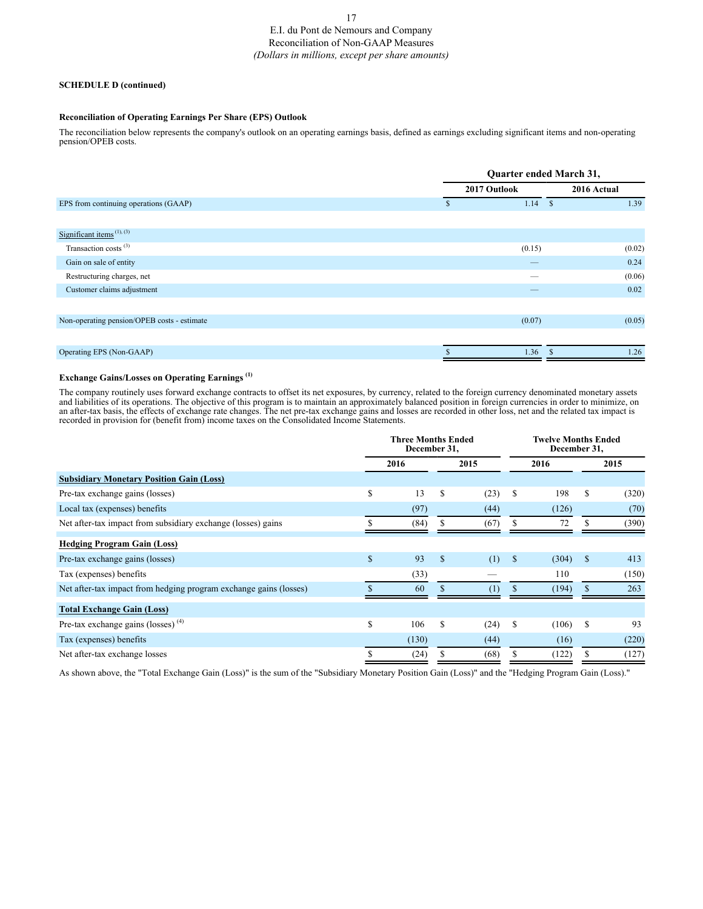# E.I. du Pont de Nemours and Company Reconciliation of Non-GAAP Measures *(Dollars in millions, except per share amounts)*

#### **SCHEDULE D (continued)**

#### **Reconciliation of Operating Earnings Per Share (EPS) Outlook**

The reconciliation below represents the company's outlook on an operating earnings basis, defined as earnings excluding significant items and non-operating pension/OPEB costs.

|                                                    |               | Quarter ended March 31,  |  |        |  |  |  |  |  |
|----------------------------------------------------|---------------|--------------------------|--|--------|--|--|--|--|--|
|                                                    |               | 2017 Outlook             |  |        |  |  |  |  |  |
| EPS from continuing operations (GAAP)              | <sup>\$</sup> | $1.14$ \$                |  | 1.39   |  |  |  |  |  |
|                                                    |               |                          |  |        |  |  |  |  |  |
| Significant items <sup><math>(1), (3)</math></sup> |               |                          |  |        |  |  |  |  |  |
| Transaction costs <sup>(3)</sup>                   |               | (0.15)                   |  | (0.02) |  |  |  |  |  |
| Gain on sale of entity                             |               | $\overline{\phantom{m}}$ |  | 0.24   |  |  |  |  |  |
| Restructuring charges, net                         |               | –                        |  | (0.06) |  |  |  |  |  |
| Customer claims adjustment                         |               |                          |  | 0.02   |  |  |  |  |  |
|                                                    |               |                          |  |        |  |  |  |  |  |
| Non-operating pension/OPEB costs - estimate        |               | (0.07)                   |  | (0.05) |  |  |  |  |  |
|                                                    |               |                          |  |        |  |  |  |  |  |
| Operating EPS (Non-GAAP)                           | <sup>\$</sup> | 1.36                     |  | 1.26   |  |  |  |  |  |

### **Exchange Gains/Losses on Operating Earnings (1)**

The company routinely uses forward exchange contracts to offset its net exposures, by currency, related to the foreign currency denominated monetary assets and liabilities of its operations. The objective of this program is to maintain an approximately balanced position in foreign currencies in order to minimize, on an after-tax basis, the effects of exchange rate changes. The net pre-tax exchange gains and losses are recorded in other loss, net and the related tax impact is recorded in provision for (benefit from) income taxes on the Consolidated Income Statements.

|                                                                   | <b>Three Months Ended</b><br>December 31, |       |    |      |               | <b>Twelve Months Ended</b><br>December 31, |             |       |
|-------------------------------------------------------------------|-------------------------------------------|-------|----|------|---------------|--------------------------------------------|-------------|-------|
|                                                                   | 2016<br>2015                              |       |    |      |               | 2016                                       |             | 2015  |
| <b>Subsidiary Monetary Position Gain (Loss)</b>                   |                                           |       |    |      |               |                                            |             |       |
| Pre-tax exchange gains (losses)                                   | $\mathbb{S}$                              | 13    | \$ | (23) | \$            | 198                                        | \$          | (320) |
| Local tax (expenses) benefits                                     |                                           | (97)  |    | (44) |               | (126)                                      |             | (70)  |
| Net after-tax impact from subsidiary exchange (losses) gains      |                                           | (84)  |    | (67) |               | 72                                         |             | (390) |
| <b>Hedging Program Gain (Loss)</b>                                |                                           |       |    |      |               |                                            |             |       |
| Pre-tax exchange gains (losses)                                   | $\mathbf S$                               | 93    | \$ | (1)  | <sup>\$</sup> | (304)                                      | $\mathbf S$ | 413   |
| Tax (expenses) benefits                                           |                                           | (33)  |    |      |               | 110                                        |             | (150) |
| Net after-tax impact from hedging program exchange gains (losses) |                                           | 60    |    | (1)  |               | (194)                                      |             | 263   |
| <b>Total Exchange Gain (Loss)</b>                                 |                                           |       |    |      |               |                                            |             |       |
| Pre-tax exchange gains (losses) $(4)$                             | \$                                        | 106   | \$ | (24) | \$            | (106)                                      | S           | 93    |
| Tax (expenses) benefits                                           |                                           | (130) |    | (44) |               | (16)                                       |             | (220) |
| Net after-tax exchange losses                                     |                                           | (24)  |    | (68) |               | (122)                                      |             | (127) |

As shown above, the "Total Exchange Gain (Loss)" is the sum of the "Subsidiary Monetary Position Gain (Loss)" and the "Hedging Program Gain (Loss)."

#### 17